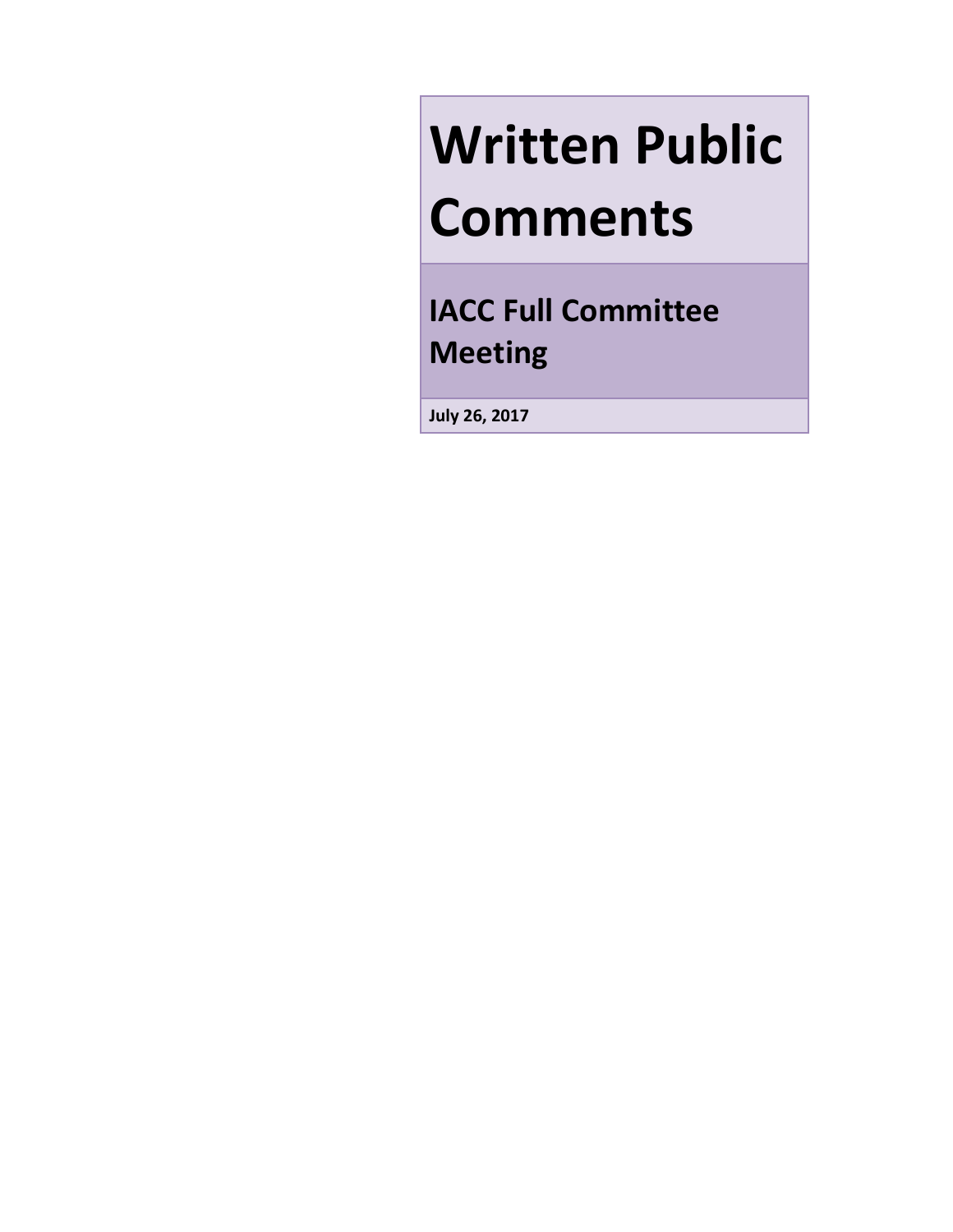# **Written Public Comments**

**IACC Full Committee Meeting**

**July 26, 2017**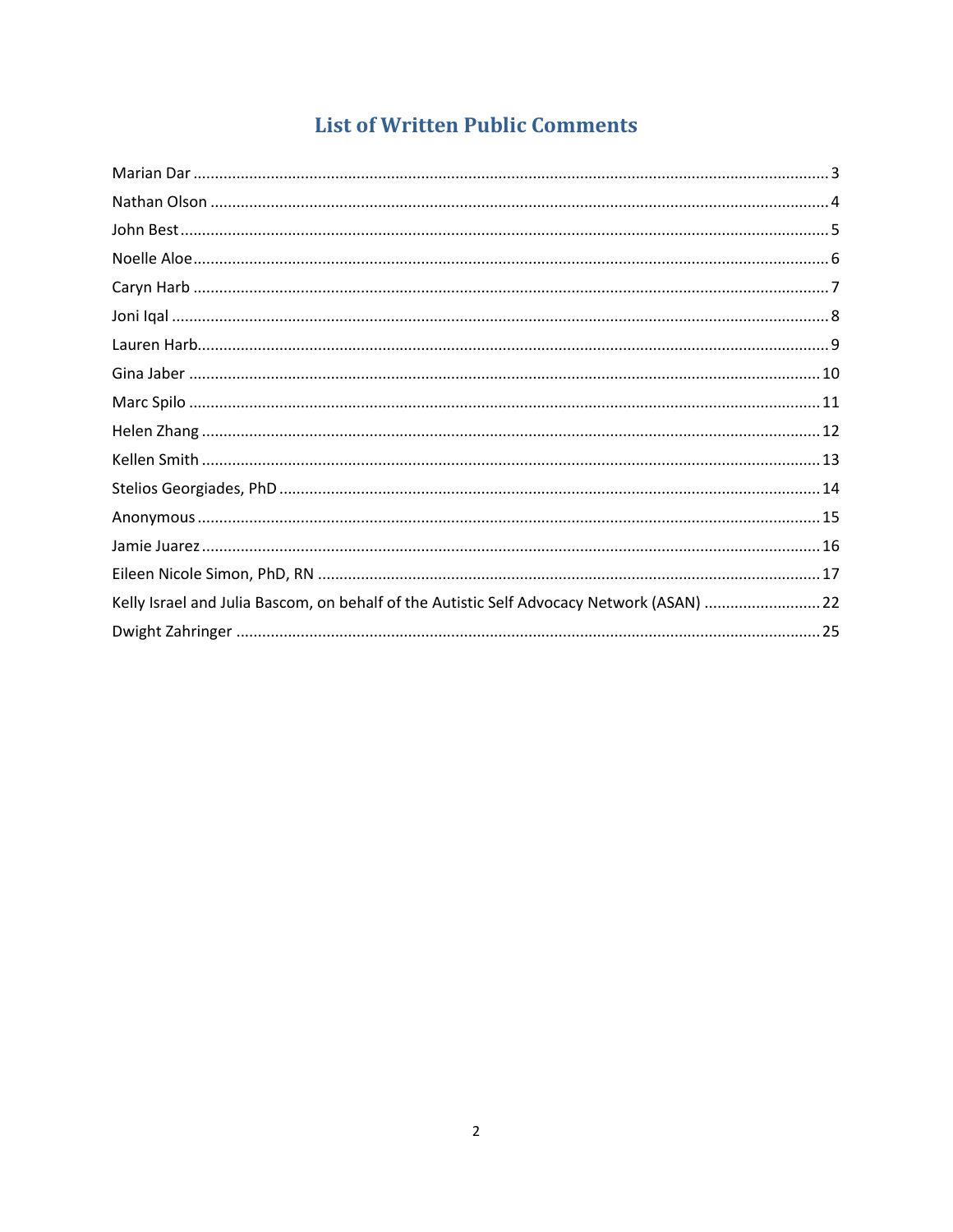## **List of Written Public Comments**

| Kelly Israel and Julia Bascom, on behalf of the Autistic Self Advocacy Network (ASAN) 22 |  |
|------------------------------------------------------------------------------------------|--|
|                                                                                          |  |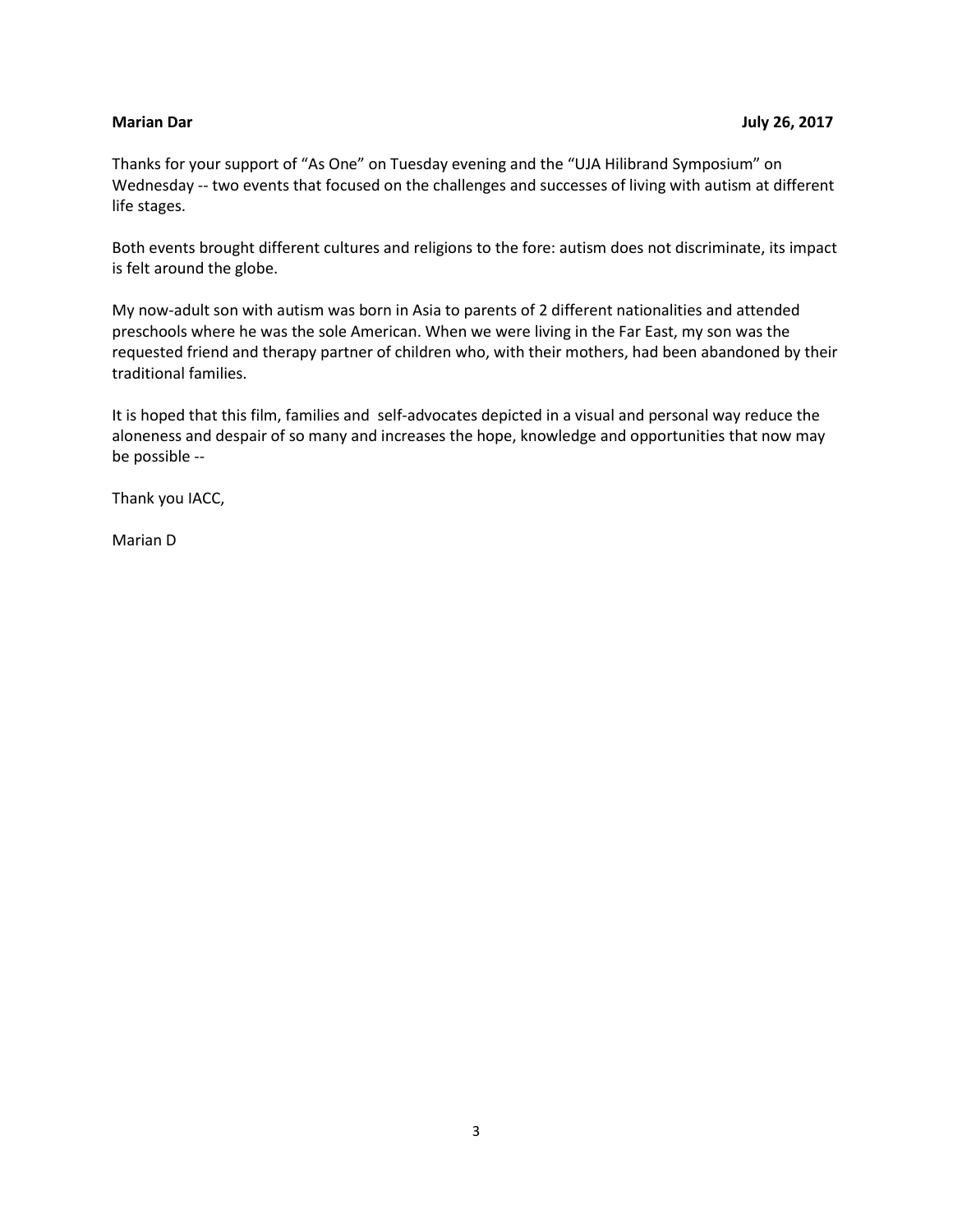#### <span id="page-2-0"></span>**Marian Dar July 26, 2017**

Thanks for your support of "As One" on Tuesday evening and the "UJA Hilibrand Symposium" on Wednesday -- two events that focused on the challenges and successes of living with autism at different life stages.

Both events brought different cultures and religions to the fore: autism does not discriminate, its impact is felt around the globe.

My now-adult son with autism was born in Asia to parents of 2 different nationalities and attended preschools where he was the sole American. When we were living in the Far East, my son was the requested friend and therapy partner of children who, with their mothers, had been abandoned by their traditional families.

It is hoped that this film, families and self-advocates depicted in a visual and personal way reduce the aloneness and despair of so many and increases the hope, knowledge and opportunities that now may be possible --

Thank you IACC,

Marian D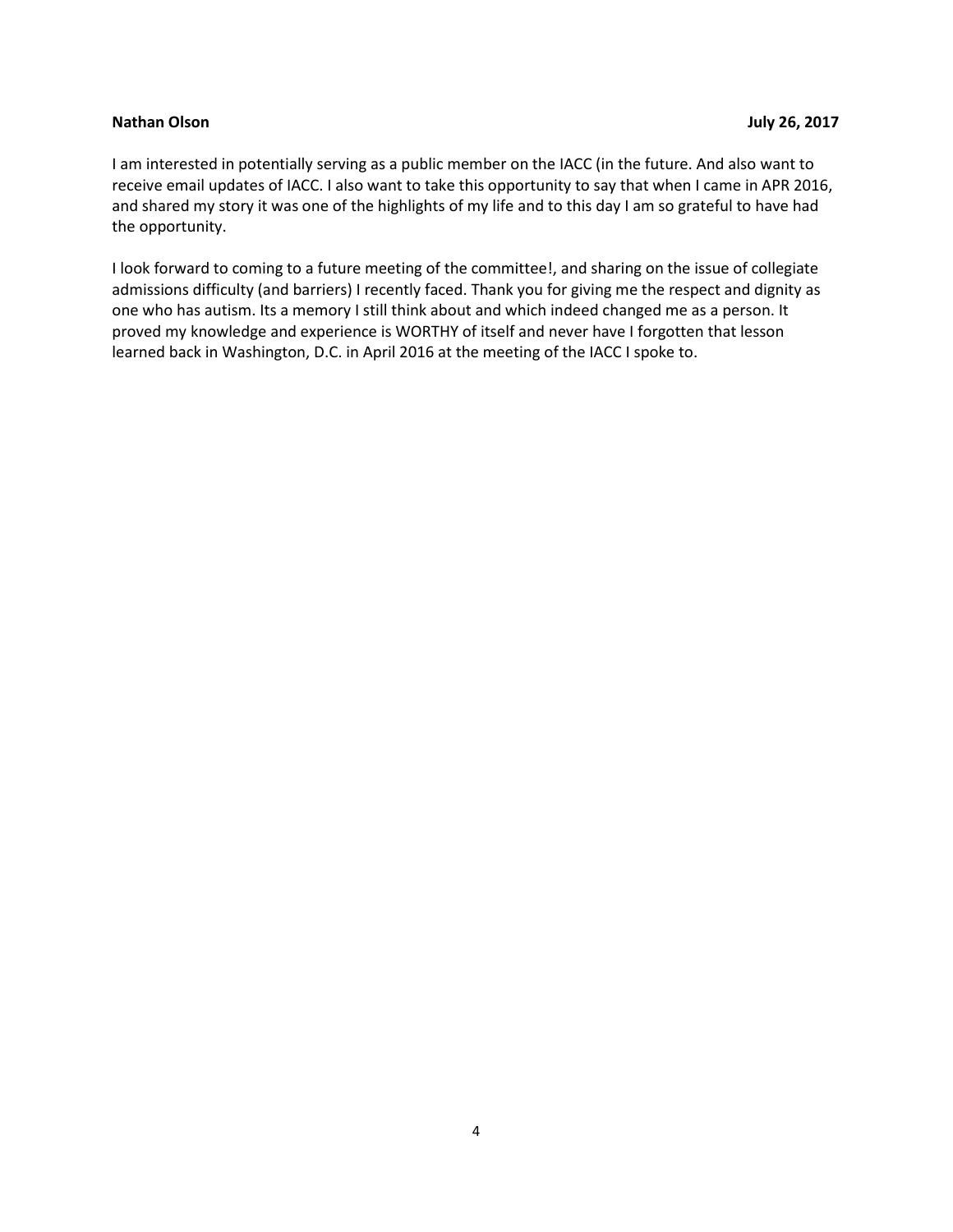#### <span id="page-3-0"></span>**Nathan Olson July 26, 2017**

I am interested in potentially serving as a public member on the IACC (in the future. And also want to receive email updates of IACC. I also want to take this opportunity to say that when I came in APR 2016, and shared my story it was one of the highlights of my life and to this day I am so grateful to have had the opportunity.

I look forward to coming to a future meeting of the committee!, and sharing on the issue of collegiate admissions difficulty (and barriers) I recently faced. Thank you for giving me the respect and dignity as one who has autism. Its a memory I still think about and which indeed changed me as a person. It proved my knowledge and experience is WORTHY of itself and never have I forgotten that lesson learned back in Washington, D.C. in April 2016 at the meeting of the IACC I spoke to.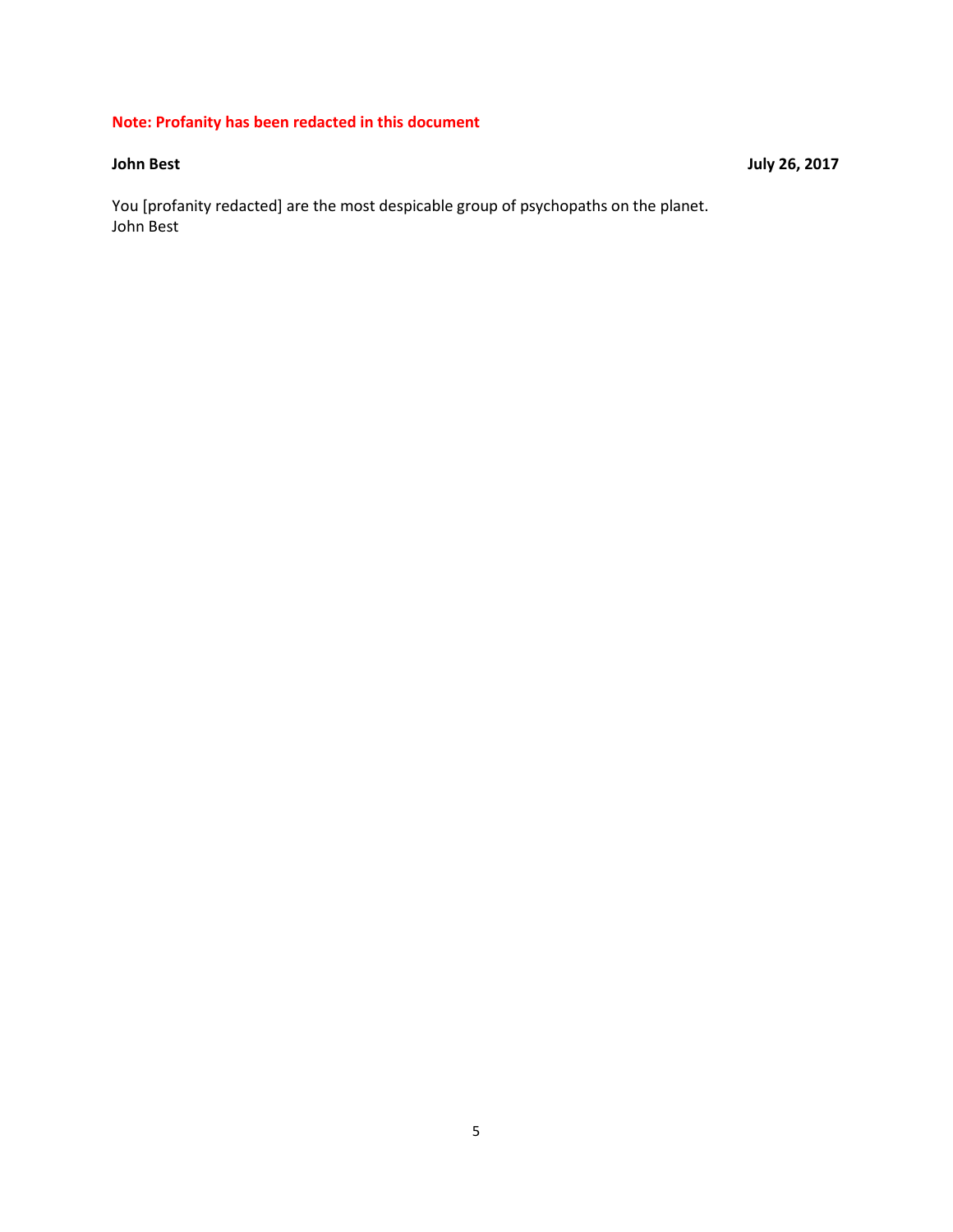### **Note: Profanity has been redacted in this document**

You [profanity redacted] are the most despicable group of psychopaths on the planet. John Best

<span id="page-4-0"></span>**John Best** July 26, 2017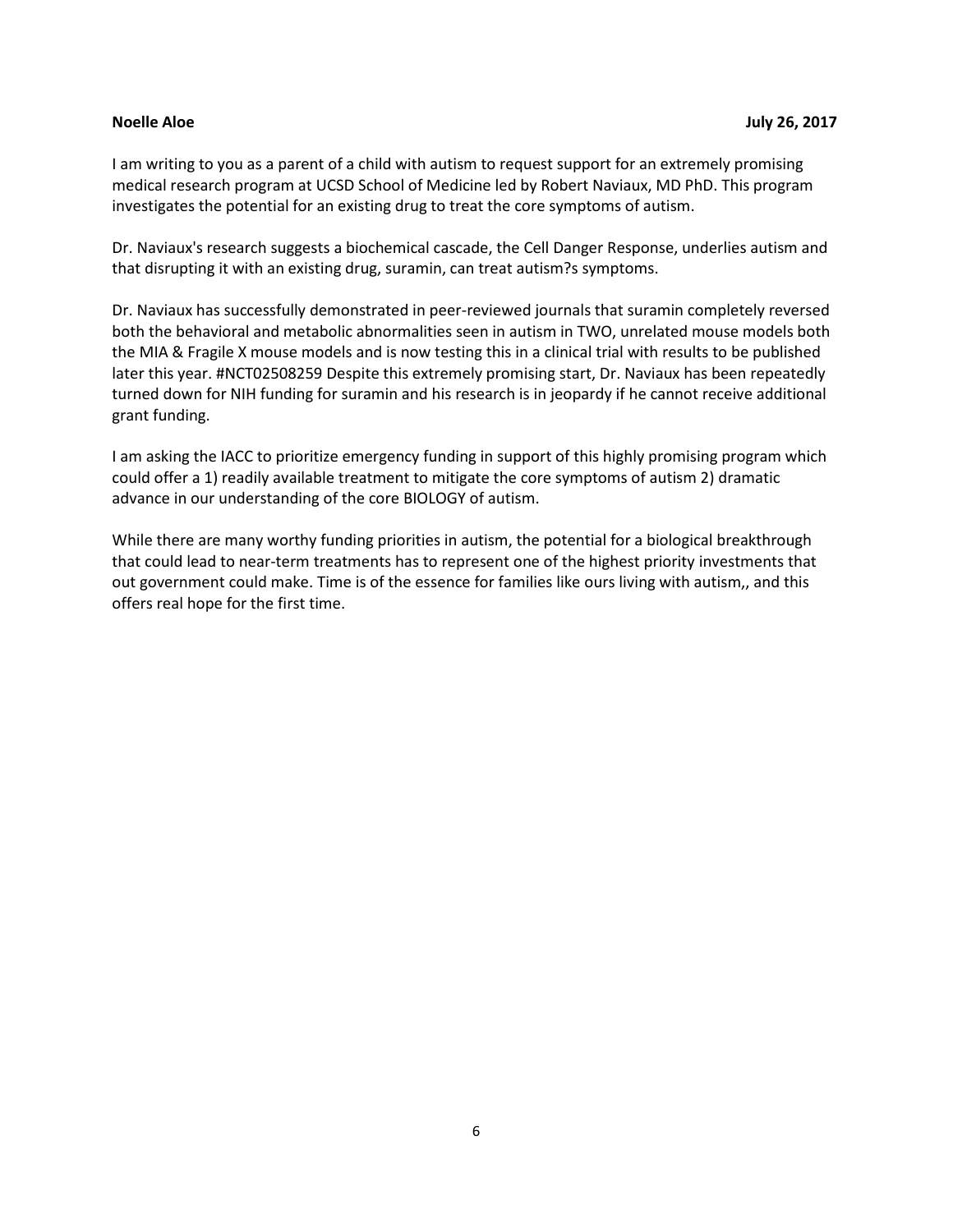<span id="page-5-0"></span>I am writing to you as a parent of a child with autism to request support for an extremely promising medical research program at UCSD School of Medicine led by Robert Naviaux, MD PhD. This program investigates the potential for an existing drug to treat the core symptoms of autism.

Dr. Naviaux's research suggests a biochemical cascade, the Cell Danger Response, underlies autism and that disrupting it with an existing drug, suramin, can treat autism?s symptoms.

Dr. Naviaux has successfully demonstrated in peer-reviewed journals that suramin completely reversed both the behavioral and metabolic abnormalities seen in autism in TWO, unrelated mouse models both the MIA & Fragile X mouse models and is now testing this in a clinical trial with results to be published later this year. #NCT02508259 Despite this extremely promising start, Dr. Naviaux has been repeatedly turned down for NIH funding for suramin and his research is in jeopardy if he cannot receive additional grant funding.

I am asking the IACC to prioritize emergency funding in support of this highly promising program which could offer a 1) readily available treatment to mitigate the core symptoms of autism 2) dramatic advance in our understanding of the core BIOLOGY of autism.

While there are many worthy funding priorities in autism, the potential for a biological breakthrough that could lead to near-term treatments has to represent one of the highest priority investments that out government could make. Time is of the essence for families like ours living with autism,, and this offers real hope for the first time.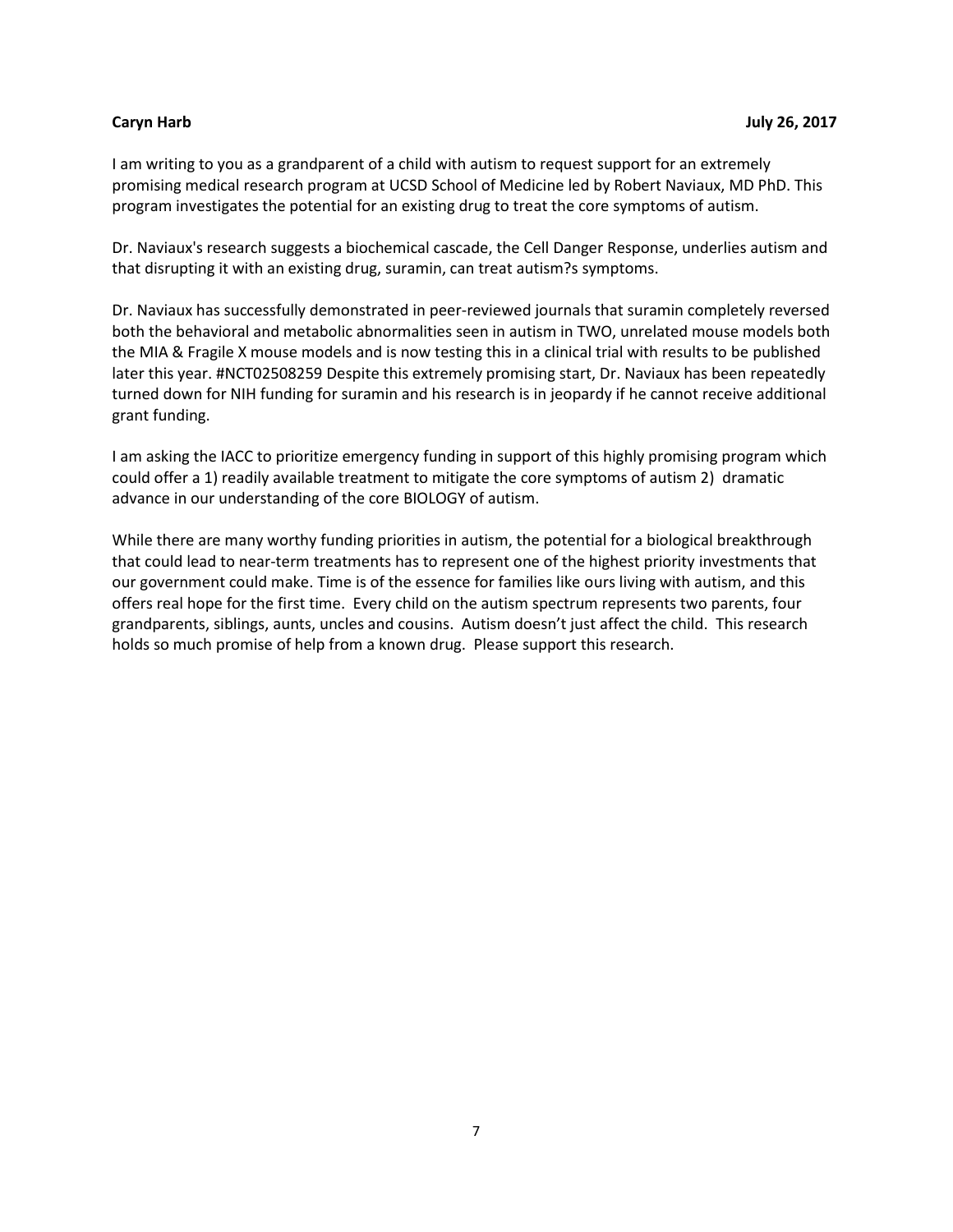<span id="page-6-0"></span>I am writing to you as a grandparent of a child with autism to request support for an extremely promising medical research program at UCSD School of Medicine led by Robert Naviaux, MD PhD. This program investigates the potential for an existing drug to treat the core symptoms of autism.

Dr. Naviaux's research suggests a biochemical cascade, the Cell Danger Response, underlies autism and that disrupting it with an existing drug, suramin, can treat autism?s symptoms.

Dr. Naviaux has successfully demonstrated in peer-reviewed journals that suramin completely reversed both the behavioral and metabolic abnormalities seen in autism in TWO, unrelated mouse models both the MIA & Fragile X mouse models and is now testing this in a clinical trial with results to be published later this year. #NCT02508259 Despite this extremely promising start, Dr. Naviaux has been repeatedly turned down for NIH funding for suramin and his research is in jeopardy if he cannot receive additional grant funding.

I am asking the IACC to prioritize emergency funding in support of this highly promising program which could offer a 1) readily available treatment to mitigate the core symptoms of autism 2) dramatic advance in our understanding of the core BIOLOGY of autism.

While there are many worthy funding priorities in autism, the potential for a biological breakthrough that could lead to near-term treatments has to represent one of the highest priority investments that our government could make. Time is of the essence for families like ours living with autism, and this offers real hope for the first time. Every child on the autism spectrum represents two parents, four grandparents, siblings, aunts, uncles and cousins. Autism doesn't just affect the child. This research holds so much promise of help from a known drug. Please support this research.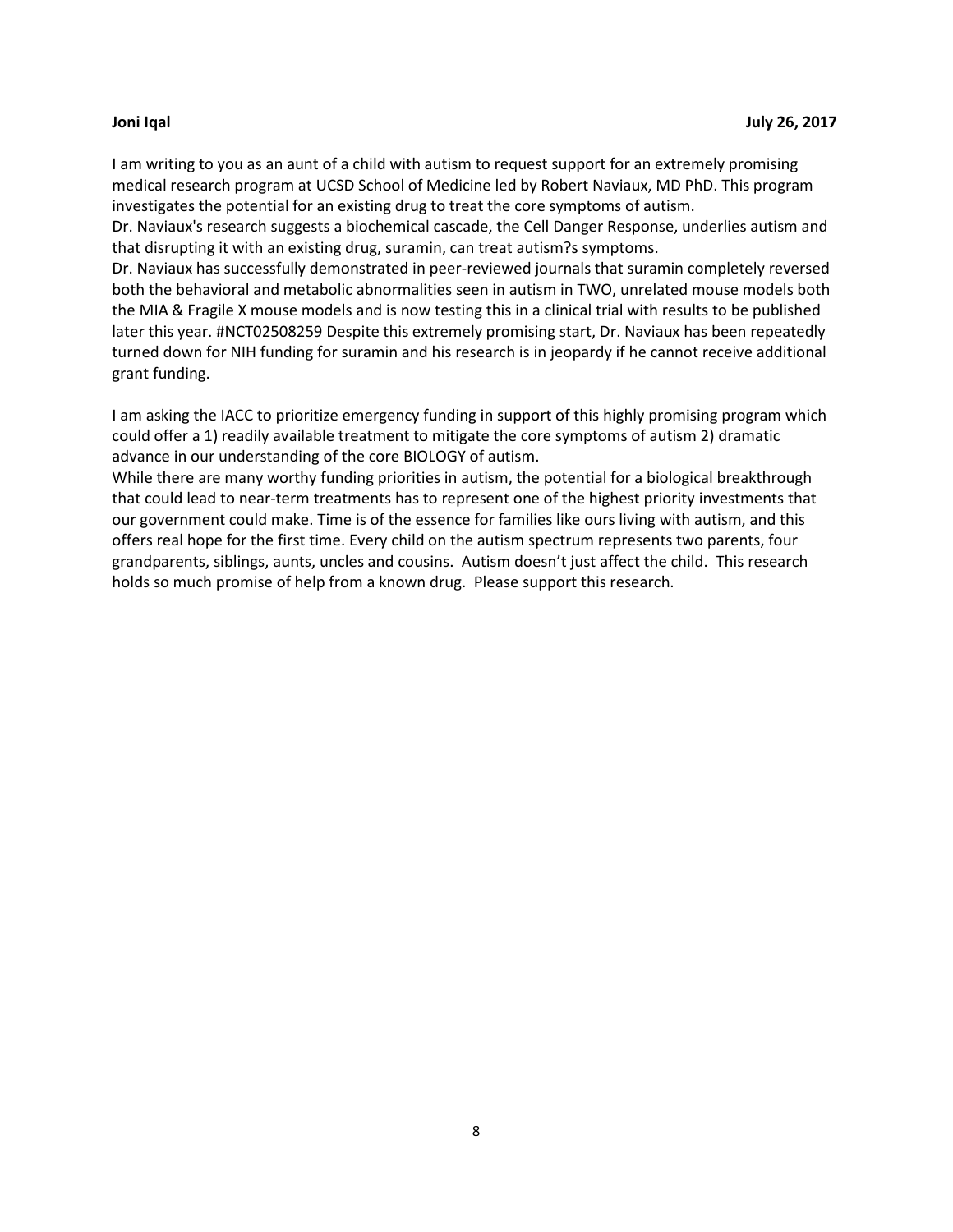<span id="page-7-0"></span>I am writing to you as an aunt of a child with autism to request support for an extremely promising medical research program at UCSD School of Medicine led by Robert Naviaux, MD PhD. This program investigates the potential for an existing drug to treat the core symptoms of autism.

Dr. Naviaux's research suggests a biochemical cascade, the Cell Danger Response, underlies autism and that disrupting it with an existing drug, suramin, can treat autism?s symptoms.

Dr. Naviaux has successfully demonstrated in peer-reviewed journals that suramin completely reversed both the behavioral and metabolic abnormalities seen in autism in TWO, unrelated mouse models both the MIA & Fragile X mouse models and is now testing this in a clinical trial with results to be published later this year. #NCT02508259 Despite this extremely promising start, Dr. Naviaux has been repeatedly turned down for NIH funding for suramin and his research is in jeopardy if he cannot receive additional grant funding.

I am asking the IACC to prioritize emergency funding in support of this highly promising program which could offer a 1) readily available treatment to mitigate the core symptoms of autism 2) dramatic advance in our understanding of the core BIOLOGY of autism.

While there are many worthy funding priorities in autism, the potential for a biological breakthrough that could lead to near-term treatments has to represent one of the highest priority investments that our government could make. Time is of the essence for families like ours living with autism, and this offers real hope for the first time. Every child on the autism spectrum represents two parents, four grandparents, siblings, aunts, uncles and cousins. Autism doesn't just affect the child. This research holds so much promise of help from a known drug. Please support this research.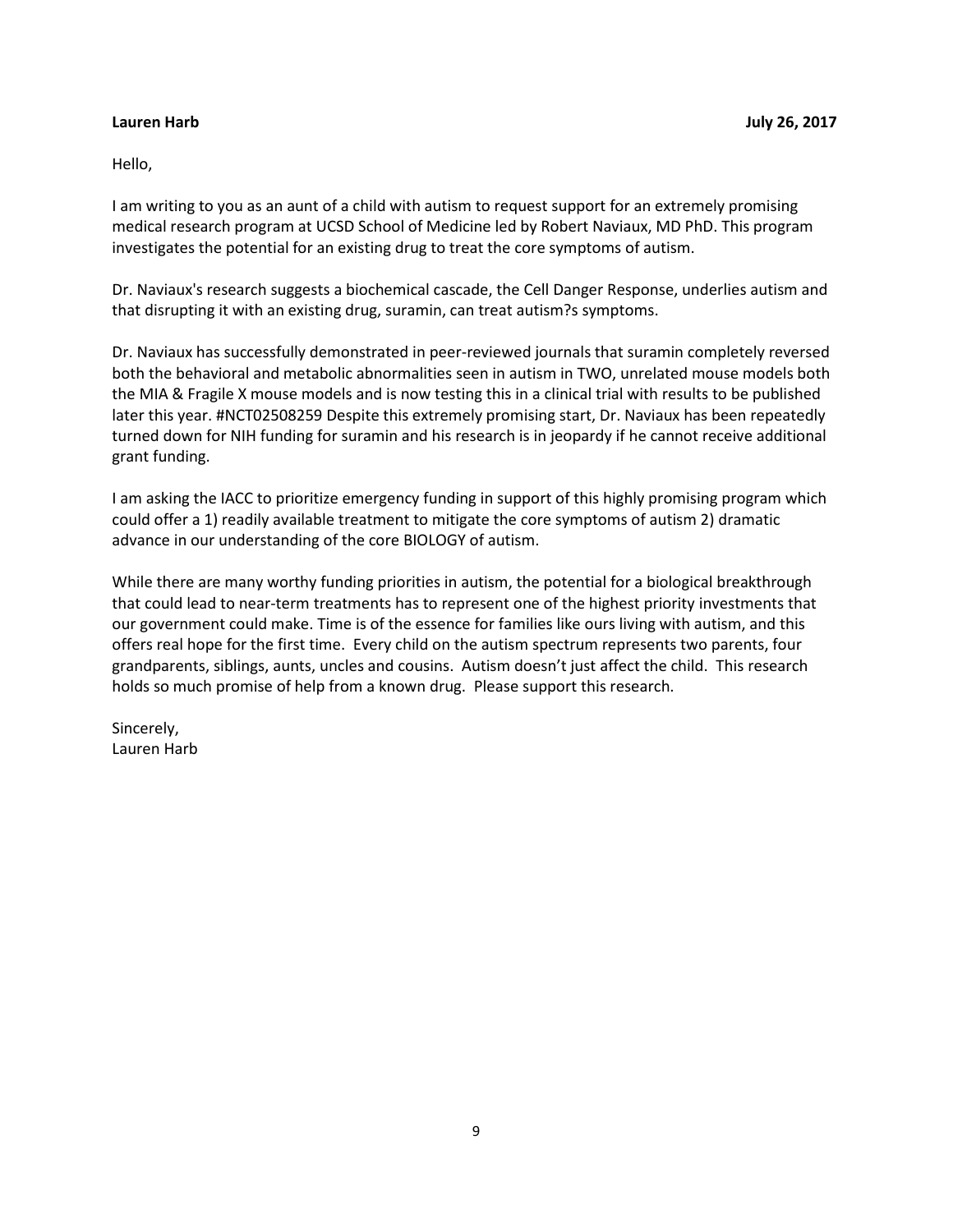<span id="page-8-0"></span>Hello,

I am writing to you as an aunt of a child with autism to request support for an extremely promising medical research program at UCSD School of Medicine led by Robert Naviaux, MD PhD. This program investigates the potential for an existing drug to treat the core symptoms of autism.

Dr. Naviaux's research suggests a biochemical cascade, the Cell Danger Response, underlies autism and that disrupting it with an existing drug, suramin, can treat autism?s symptoms.

Dr. Naviaux has successfully demonstrated in peer-reviewed journals that suramin completely reversed both the behavioral and metabolic abnormalities seen in autism in TWO, unrelated mouse models both the MIA & Fragile X mouse models and is now testing this in a clinical trial with results to be published later this year. #NCT02508259 Despite this extremely promising start, Dr. Naviaux has been repeatedly turned down for NIH funding for suramin and his research is in jeopardy if he cannot receive additional grant funding.

I am asking the IACC to prioritize emergency funding in support of this highly promising program which could offer a 1) readily available treatment to mitigate the core symptoms of autism 2) dramatic advance in our understanding of the core BIOLOGY of autism.

While there are many worthy funding priorities in autism, the potential for a biological breakthrough that could lead to near-term treatments has to represent one of the highest priority investments that our government could make. Time is of the essence for families like ours living with autism, and this offers real hope for the first time. Every child on the autism spectrum represents two parents, four grandparents, siblings, aunts, uncles and cousins. Autism doesn't just affect the child. This research holds so much promise of help from a known drug. Please support this research.

Sincerely, Lauren Harb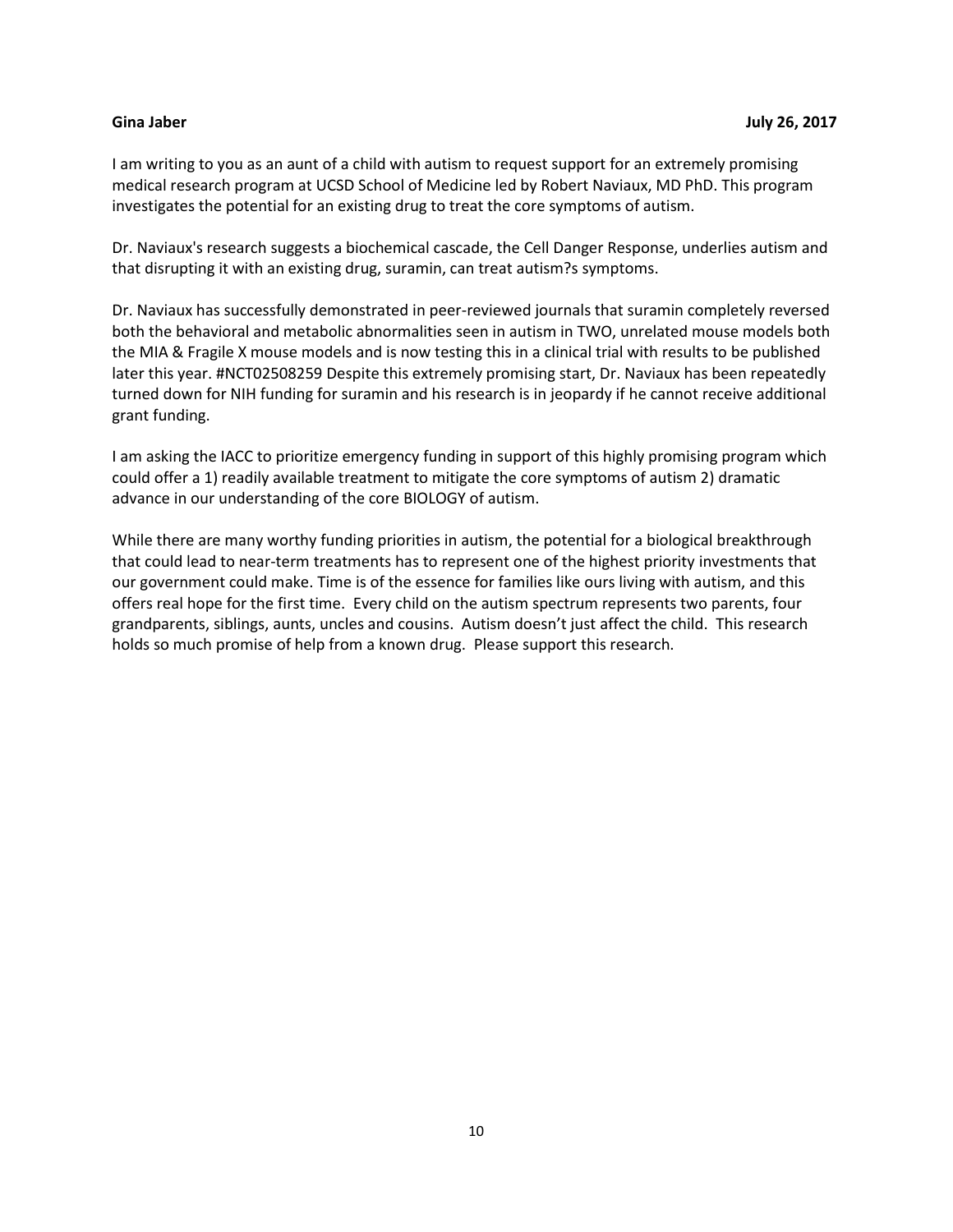<span id="page-9-0"></span>I am writing to you as an aunt of a child with autism to request support for an extremely promising medical research program at UCSD School of Medicine led by Robert Naviaux, MD PhD. This program investigates the potential for an existing drug to treat the core symptoms of autism.

Dr. Naviaux's research suggests a biochemical cascade, the Cell Danger Response, underlies autism and that disrupting it with an existing drug, suramin, can treat autism?s symptoms.

Dr. Naviaux has successfully demonstrated in peer-reviewed journals that suramin completely reversed both the behavioral and metabolic abnormalities seen in autism in TWO, unrelated mouse models both the MIA & Fragile X mouse models and is now testing this in a clinical trial with results to be published later this year. #NCT02508259 Despite this extremely promising start, Dr. Naviaux has been repeatedly turned down for NIH funding for suramin and his research is in jeopardy if he cannot receive additional grant funding.

I am asking the IACC to prioritize emergency funding in support of this highly promising program which could offer a 1) readily available treatment to mitigate the core symptoms of autism 2) dramatic advance in our understanding of the core BIOLOGY of autism.

While there are many worthy funding priorities in autism, the potential for a biological breakthrough that could lead to near-term treatments has to represent one of the highest priority investments that our government could make. Time is of the essence for families like ours living with autism, and this offers real hope for the first time. Every child on the autism spectrum represents two parents, four grandparents, siblings, aunts, uncles and cousins. Autism doesn't just affect the child. This research holds so much promise of help from a known drug. Please support this research.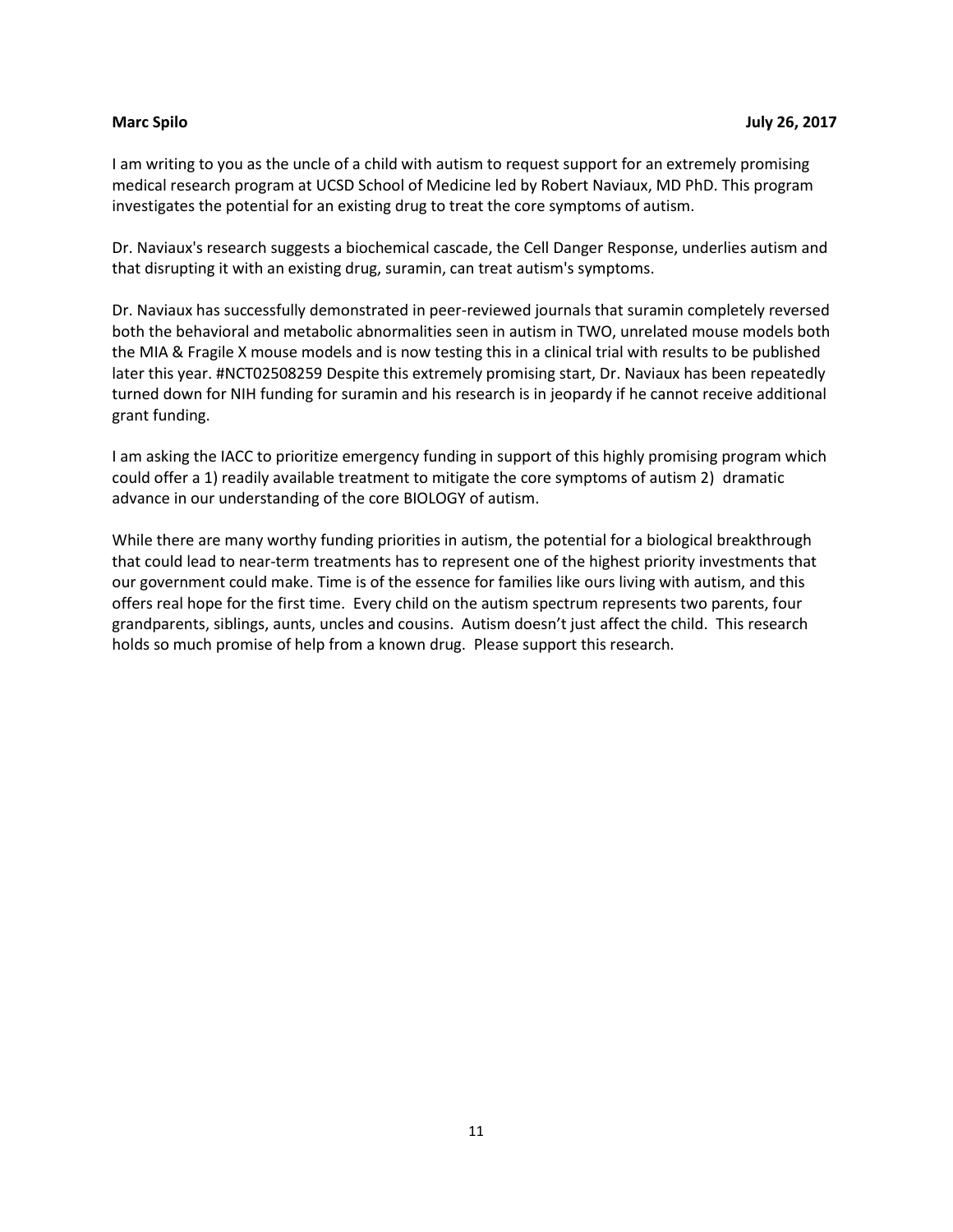<span id="page-10-0"></span>I am writing to you as the uncle of a child with autism to request support for an extremely promising medical research program at UCSD School of Medicine led by Robert Naviaux, MD PhD. This program investigates the potential for an existing drug to treat the core symptoms of autism.

Dr. Naviaux's research suggests a biochemical cascade, the Cell Danger Response, underlies autism and that disrupting it with an existing drug, suramin, can treat autism's symptoms.

Dr. Naviaux has successfully demonstrated in peer-reviewed journals that suramin completely reversed both the behavioral and metabolic abnormalities seen in autism in TWO, unrelated mouse models both the MIA & Fragile X mouse models and is now testing this in a clinical trial with results to be published later this year. #NCT02508259 Despite this extremely promising start, Dr. Naviaux has been repeatedly turned down for NIH funding for suramin and his research is in jeopardy if he cannot receive additional grant funding.

I am asking the IACC to prioritize emergency funding in support of this highly promising program which could offer a 1) readily available treatment to mitigate the core symptoms of autism 2) dramatic advance in our understanding of the core BIOLOGY of autism.

While there are many worthy funding priorities in autism, the potential for a biological breakthrough that could lead to near-term treatments has to represent one of the highest priority investments that our government could make. Time is of the essence for families like ours living with autism, and this offers real hope for the first time. Every child on the autism spectrum represents two parents, four grandparents, siblings, aunts, uncles and cousins. Autism doesn't just affect the child. This research holds so much promise of help from a known drug. Please support this research.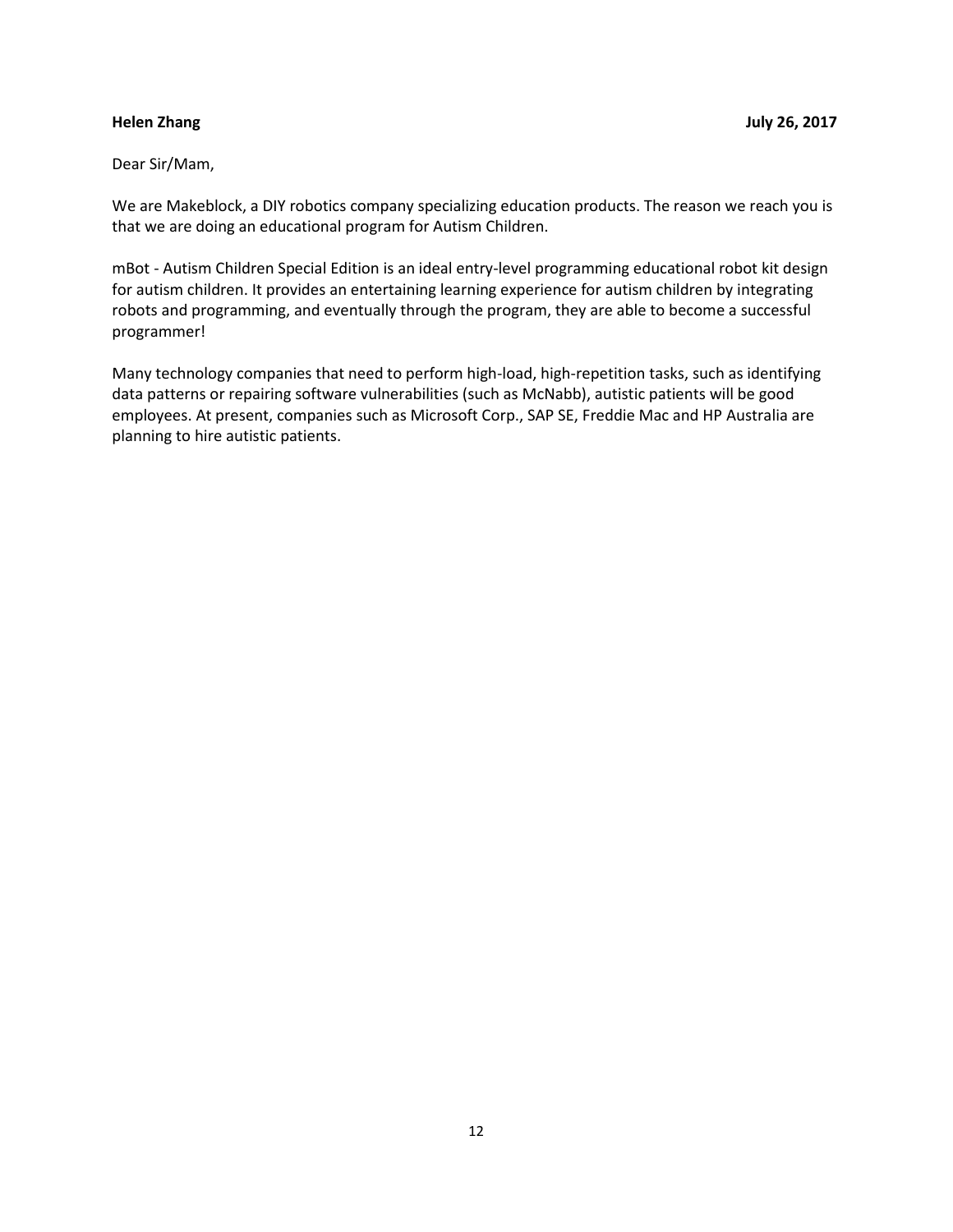### <span id="page-11-0"></span>Dear Sir/Mam,

We are Makeblock, a DIY robotics company specializing education products. The reason we reach you is that we are doing an educational program for Autism Children.

mBot - Autism Children Special Edition is an ideal entry-level programming educational robot kit design for autism children. It provides an entertaining learning experience for autism children by integrating robots and programming, and eventually through the program, they are able to become a successful programmer!

Many technology companies that need to perform high-load, high-repetition tasks, such as identifying data patterns or repairing software vulnerabilities (such as McNabb), autistic patients will be good employees. At present, companies such as Microsoft Corp., SAP SE, Freddie Mac and HP Australia are planning to hire autistic patients.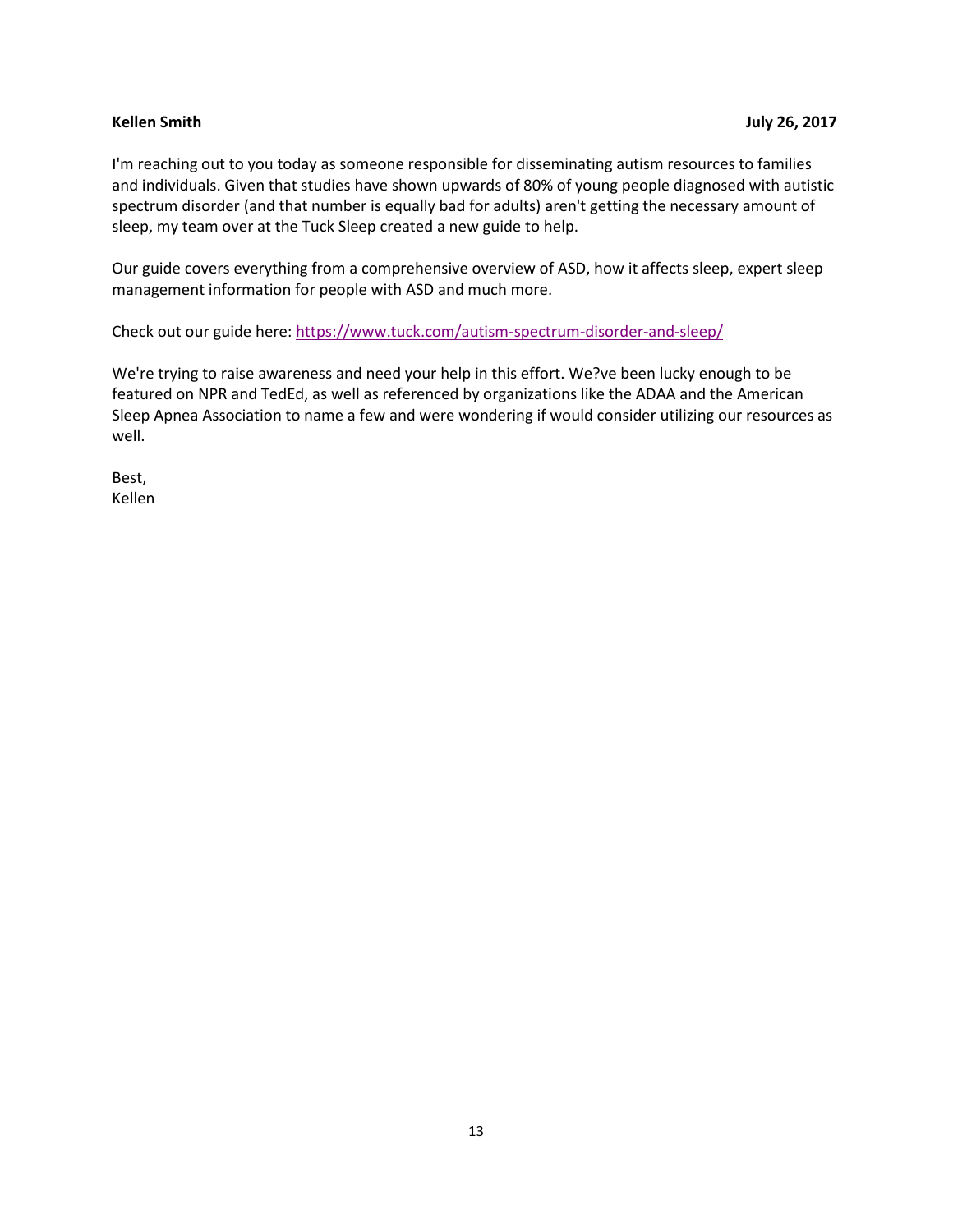<span id="page-12-0"></span>I'm reaching out to you today as someone responsible for disseminating autism resources to families and individuals. Given that studies have shown upwards of 80% of young people diagnosed with autistic spectrum disorder (and that number is equally bad for adults) aren't getting the necessary amount of sleep, my team over at the Tuck Sleep created a new guide to help.

Our guide covers everything from a comprehensive overview of ASD, how it affects sleep, expert sleep management information for people with ASD and much more.

Check out our guide here:<https://www.tuck.com/autism-spectrum-disorder-and-sleep/>

We're trying to raise awareness and need your help in this effort. We?ve been lucky enough to be featured on NPR and TedEd, as well as referenced by organizations like the ADAA and the American Sleep Apnea Association to name a few and were wondering if would consider utilizing our resources as well.

Best, Kellen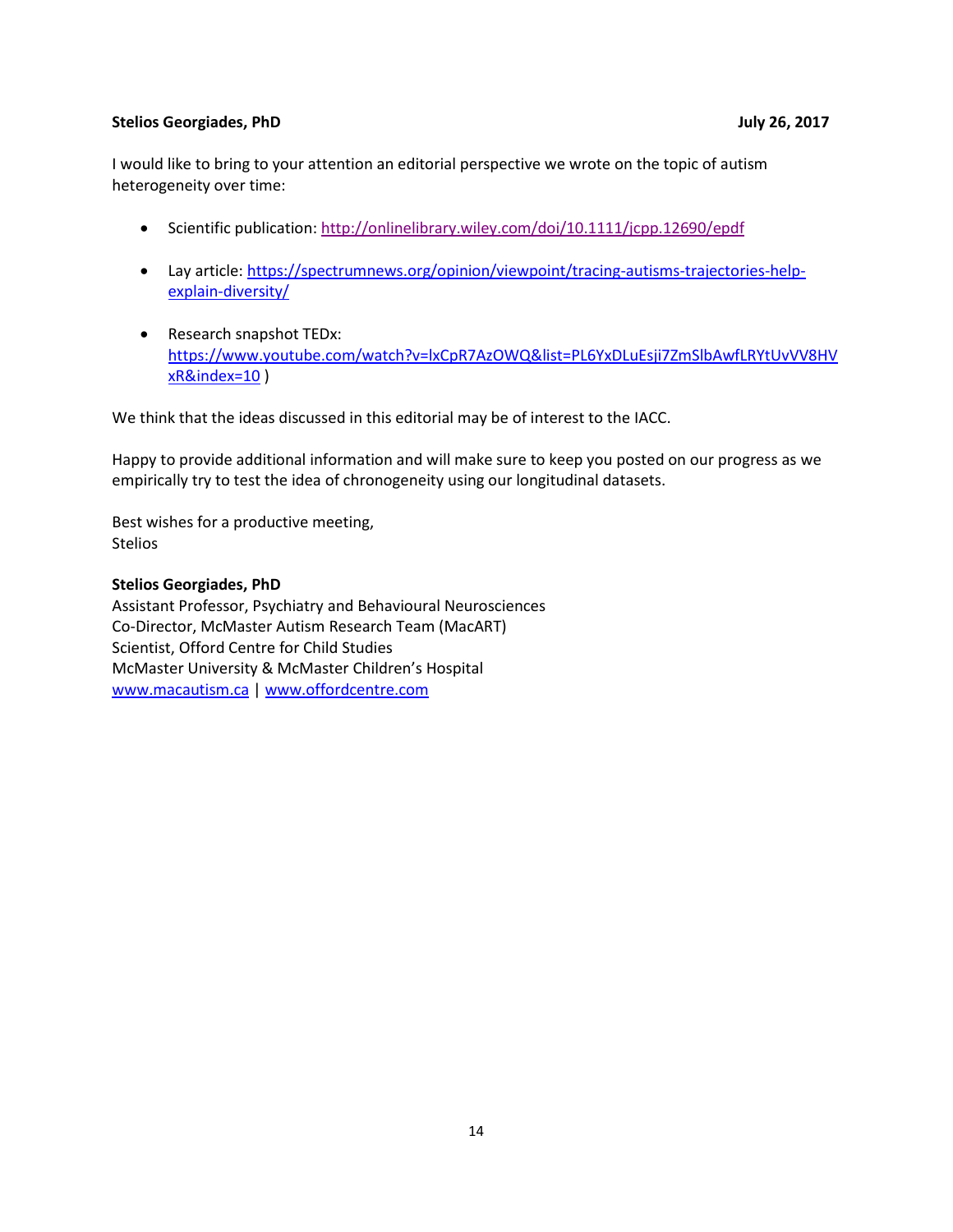### <span id="page-13-0"></span>**Stelios Georgiades, PhD July 26, 2017**

I would like to bring to your attention an editorial perspective we wrote on the topic of autism heterogeneity over time:

- Scientific publication:<http://onlinelibrary.wiley.com/doi/10.1111/jcpp.12690/epdf>
- Lay article[: https://spectrumnews.org/opinion/viewpoint/tracing-autisms-trajectories-help](https://spectrumnews.org/opinion/viewpoint/tracing-autisms-trajectories-help-explain-diversity/)[explain-diversity/](https://spectrumnews.org/opinion/viewpoint/tracing-autisms-trajectories-help-explain-diversity/)
- Research snapshot TEDx: [https://www.youtube.com/watch?v=lxCpR7AzOWQ&list=PL6YxDLuEsji7ZmSlbAwfLRYtUvVV8HV](https://www.youtube.com/watch?v=lxCpR7AzOWQ&list=PL6YxDLuEsji7ZmSlbAwfLRYtUvVV8HVxR&index=10) [xR&index=10](https://www.youtube.com/watch?v=lxCpR7AzOWQ&list=PL6YxDLuEsji7ZmSlbAwfLRYtUvVV8HVxR&index=10) )

We think that the ideas discussed in this editorial may be of interest to the IACC.

Happy to provide additional information and will make sure to keep you posted on our progress as we empirically try to test the idea of chronogeneity using our longitudinal datasets.

Best wishes for a productive meeting, Stelios

#### **Stelios Georgiades, PhD**

Assistant Professor, Psychiatry and Behavioural Neurosciences Co-Director, McMaster Autism Research Team (MacART) Scientist, Offord Centre for Child Studies McMaster University & McMaster Children's Hospital [www.macautism.ca](http://www.macautism.ca/) | [www.offordcentre.com](http://www.offordcentre.com/)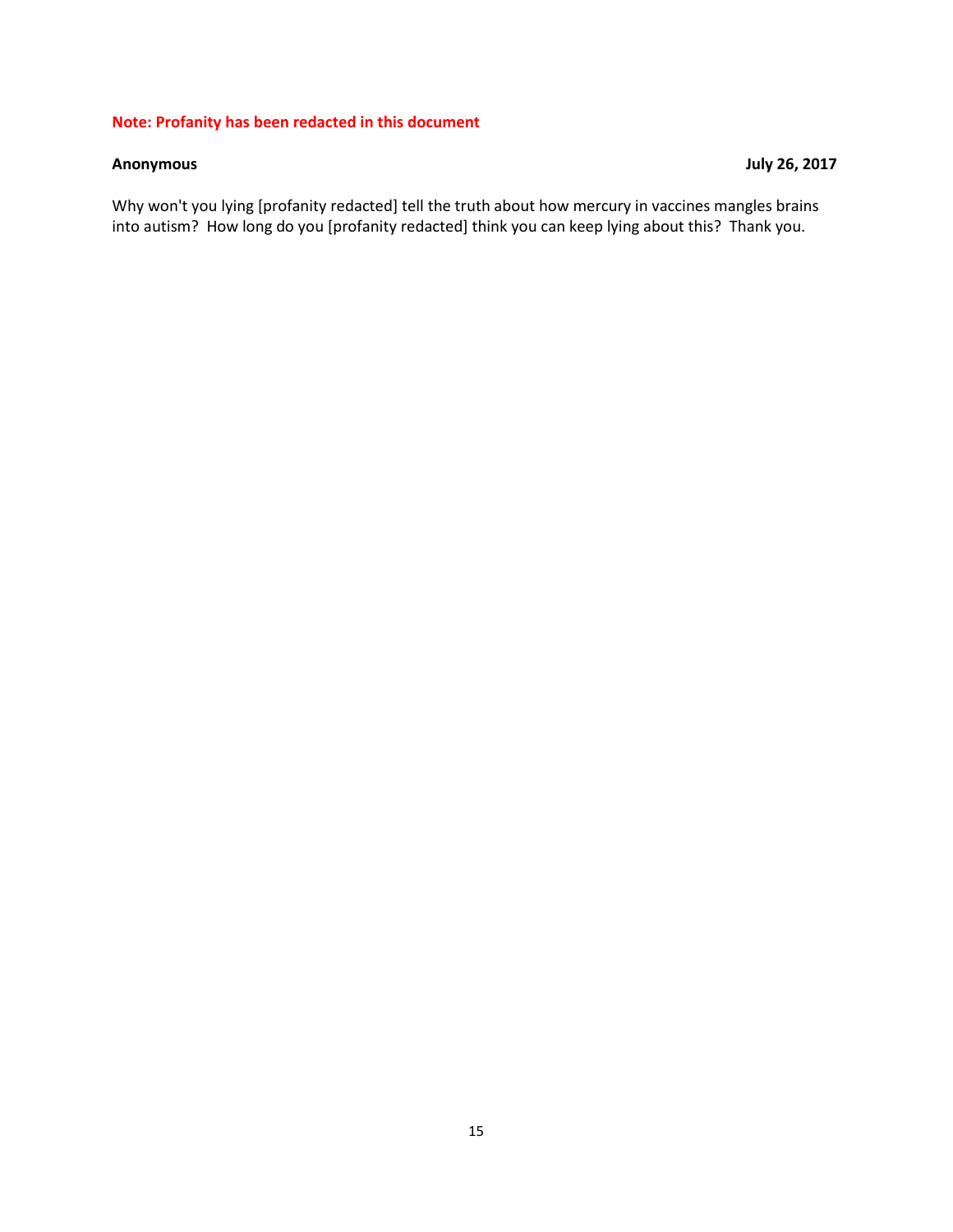### **Note: Profanity has been redacted in this document**

### <span id="page-14-0"></span>**Anonymous July 26, 2017**

Why won't you lying [profanity redacted] tell the truth about how mercury in vaccines mangles brains into autism? How long do you [profanity redacted] think you can keep lying about this? Thank you.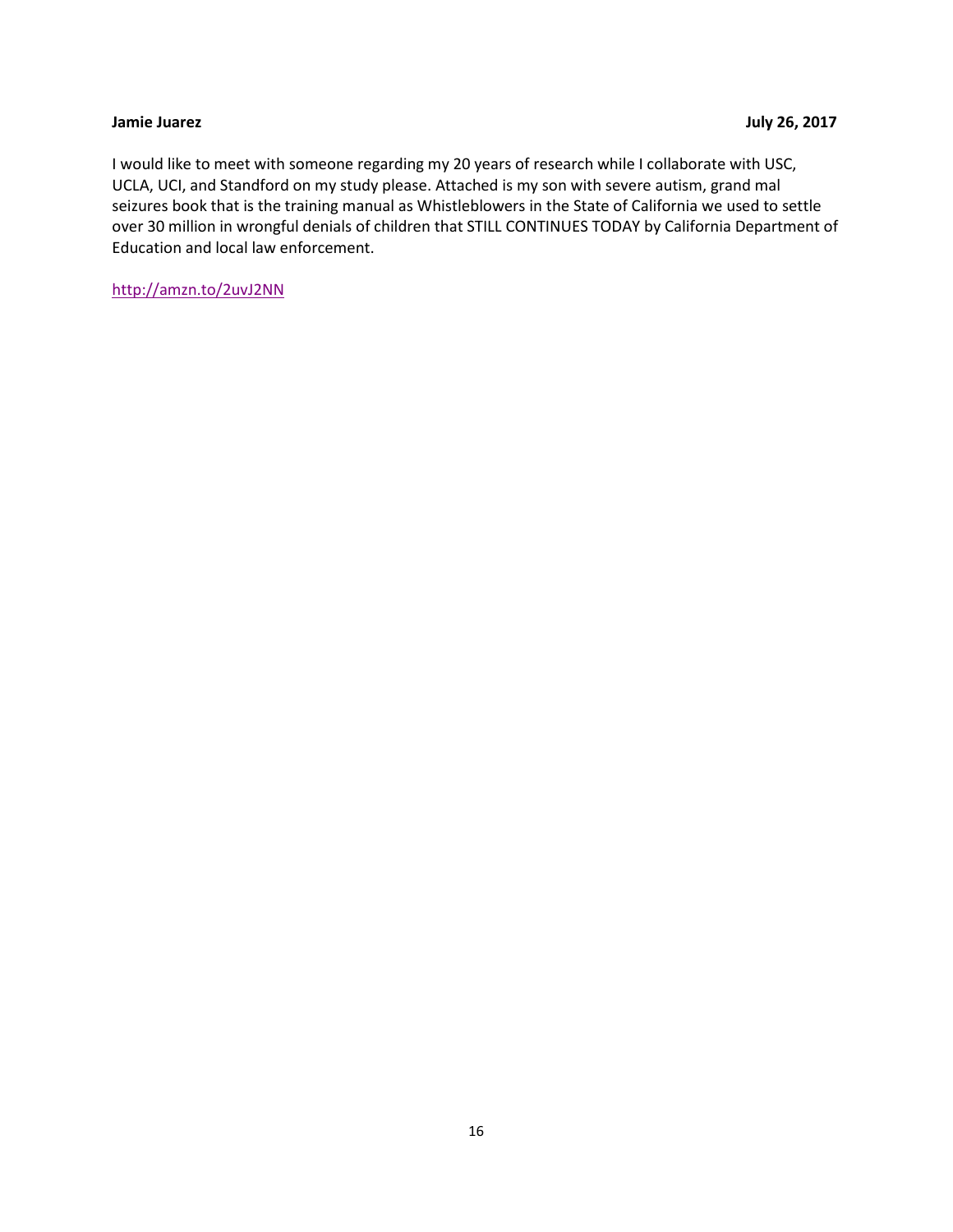<span id="page-15-0"></span>I would like to meet with someone regarding my 20 years of research while I collaborate with USC, UCLA, UCI, and Standford on my study please. Attached is my son with severe autism, grand mal seizures book that is the training manual as Whistleblowers in the State of California we used to settle over 30 million in wrongful denials of children that STILL CONTINUES TODAY by California Department of Education and local law enforcement.

<http://amzn.to/2uvJ2NN>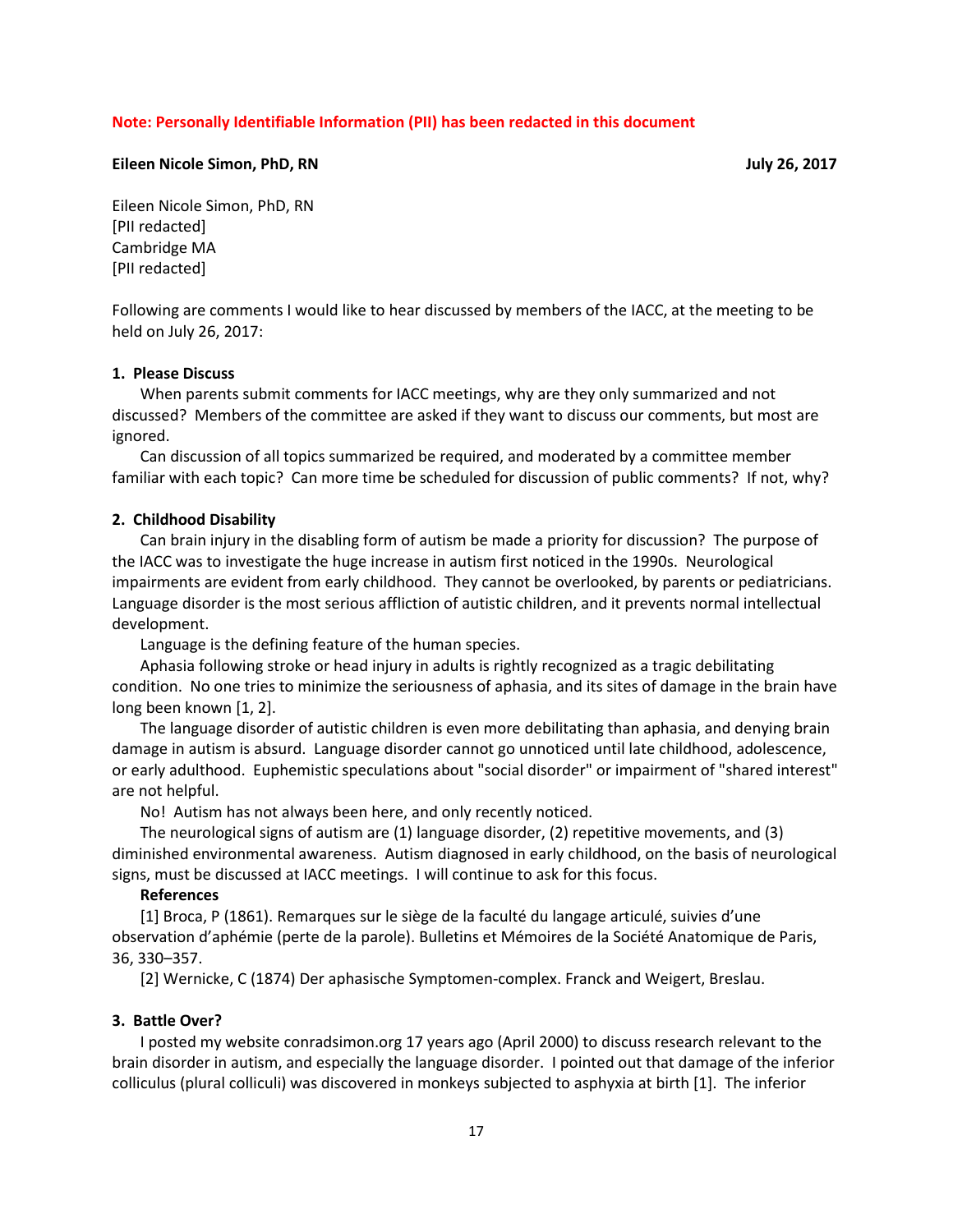#### **Note: Personally Identifiable Information (PII) has been redacted in this document**

#### <span id="page-16-0"></span>**Eileen Nicole Simon, PhD, RN July 26, 2017**

Eileen Nicole Simon, PhD, RN [PII redacted] Cambridge MA [PII redacted]

Following are comments I would like to hear discussed by members of the IACC, at the meeting to be held on July 26, 2017:

#### **1. Please Discuss**

When parents submit comments for IACC meetings, why are they only summarized and not discussed? Members of the committee are asked if they want to discuss our comments, but most are ignored.

Can discussion of all topics summarized be required, and moderated by a committee member familiar with each topic? Can more time be scheduled for discussion of public comments? If not, why?

#### **2. Childhood Disability**

Can brain injury in the disabling form of autism be made a priority for discussion? The purpose of the IACC was to investigate the huge increase in autism first noticed in the 1990s. Neurological impairments are evident from early childhood. They cannot be overlooked, by parents or pediatricians. Language disorder is the most serious affliction of autistic children, and it prevents normal intellectual development.

Language is the defining feature of the human species.

Aphasia following stroke or head injury in adults is rightly recognized as a tragic debilitating condition. No one tries to minimize the seriousness of aphasia, and its sites of damage in the brain have long been known [1, 2].

The language disorder of autistic children is even more debilitating than aphasia, and denying brain damage in autism is absurd. Language disorder cannot go unnoticed until late childhood, adolescence, or early adulthood. Euphemistic speculations about "social disorder" or impairment of "shared interest" are not helpful.

No! Autism has not always been here, and only recently noticed.

The neurological signs of autism are (1) language disorder, (2) repetitive movements, and (3) diminished environmental awareness. Autism diagnosed in early childhood, on the basis of neurological signs, must be discussed at IACC meetings. I will continue to ask for this focus.

#### **References**

[1] Broca, P (1861). Remarques sur le siège de la faculté du langage articulé, suivies d'une observation d'aphémie (perte de la parole). Bulletins et Mémoires de la Société Anatomique de Paris, 36, 330–357.

[2] Wernicke, C (1874) Der aphasische Symptomen-complex. Franck and Weigert, Breslau.

#### **3. Battle Over?**

I posted my website conradsimon.org 17 years ago (April 2000) to discuss research relevant to the brain disorder in autism, and especially the language disorder. I pointed out that damage of the inferior colliculus (plural colliculi) was discovered in monkeys subjected to asphyxia at birth [1]. The inferior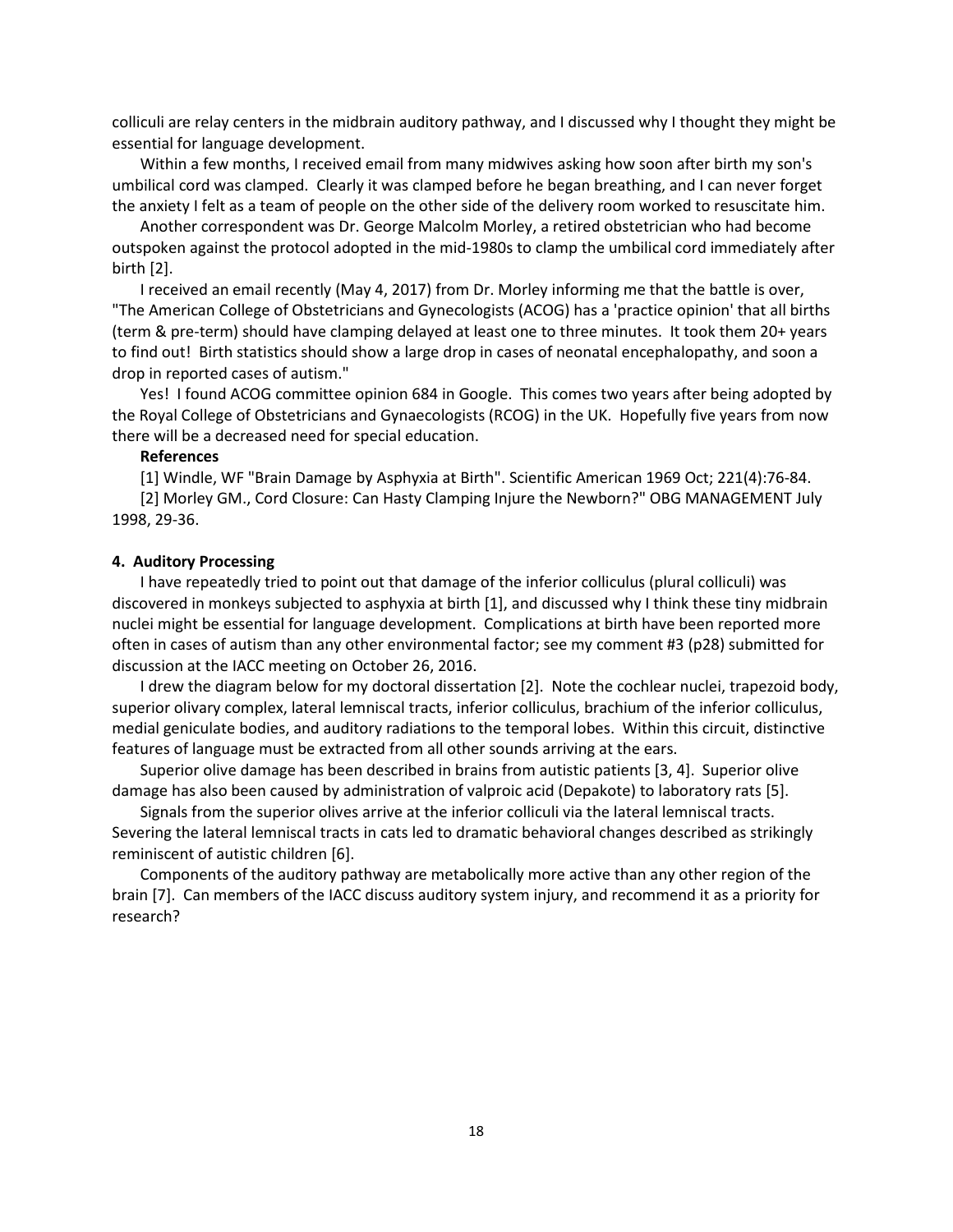colliculi are relay centers in the midbrain auditory pathway, and I discussed why I thought they might be essential for language development.

Within a few months, I received email from many midwives asking how soon after birth my son's umbilical cord was clamped. Clearly it was clamped before he began breathing, and I can never forget the anxiety I felt as a team of people on the other side of the delivery room worked to resuscitate him.

Another correspondent was Dr. George Malcolm Morley, a retired obstetrician who had become outspoken against the protocol adopted in the mid-1980s to clamp the umbilical cord immediately after birth [2].

I received an email recently (May 4, 2017) from Dr. Morley informing me that the battle is over, "The American College of Obstetricians and Gynecologists (ACOG) has a 'practice opinion' that all births (term & pre-term) should have clamping delayed at least one to three minutes. It took them 20+ years to find out! Birth statistics should show a large drop in cases of neonatal encephalopathy, and soon a drop in reported cases of autism."

Yes! I found ACOG committee opinion 684 in Google. This comes two years after being adopted by the Royal College of Obstetricians and Gynaecologists (RCOG) in the UK. Hopefully five years from now there will be a decreased need for special education.

#### **References**

[1] Windle, WF "Brain Damage by Asphyxia at Birth". Scientific American 1969 Oct; 221(4):76-84.

[2] Morley GM., Cord Closure: Can Hasty Clamping Injure the Newborn?" OBG MANAGEMENT July 1998, 29-36.

#### **4. Auditory Processing**

I have repeatedly tried to point out that damage of the inferior colliculus (plural colliculi) was discovered in monkeys subjected to asphyxia at birth [1], and discussed why I think these tiny midbrain nuclei might be essential for language development. Complications at birth have been reported more often in cases of autism than any other environmental factor; see my comment #3 (p28) submitted for discussion at the IACC meeting on October 26, 2016.

I drew the diagram below for my doctoral dissertation [2]. Note the cochlear nuclei, trapezoid body, superior olivary complex, lateral lemniscal tracts, inferior colliculus, brachium of the inferior colliculus, medial geniculate bodies, and auditory radiations to the temporal lobes. Within this circuit, distinctive features of language must be extracted from all other sounds arriving at the ears.

Superior olive damage has been described in brains from autistic patients [3, 4]. Superior olive damage has also been caused by administration of valproic acid (Depakote) to laboratory rats [5].

Signals from the superior olives arrive at the inferior colliculi via the lateral lemniscal tracts. Severing the lateral lemniscal tracts in cats led to dramatic behavioral changes described as strikingly reminiscent of autistic children [6].

Components of the auditory pathway are metabolically more active than any other region of the brain [7]. Can members of the IACC discuss auditory system injury, and recommend it as a priority for research?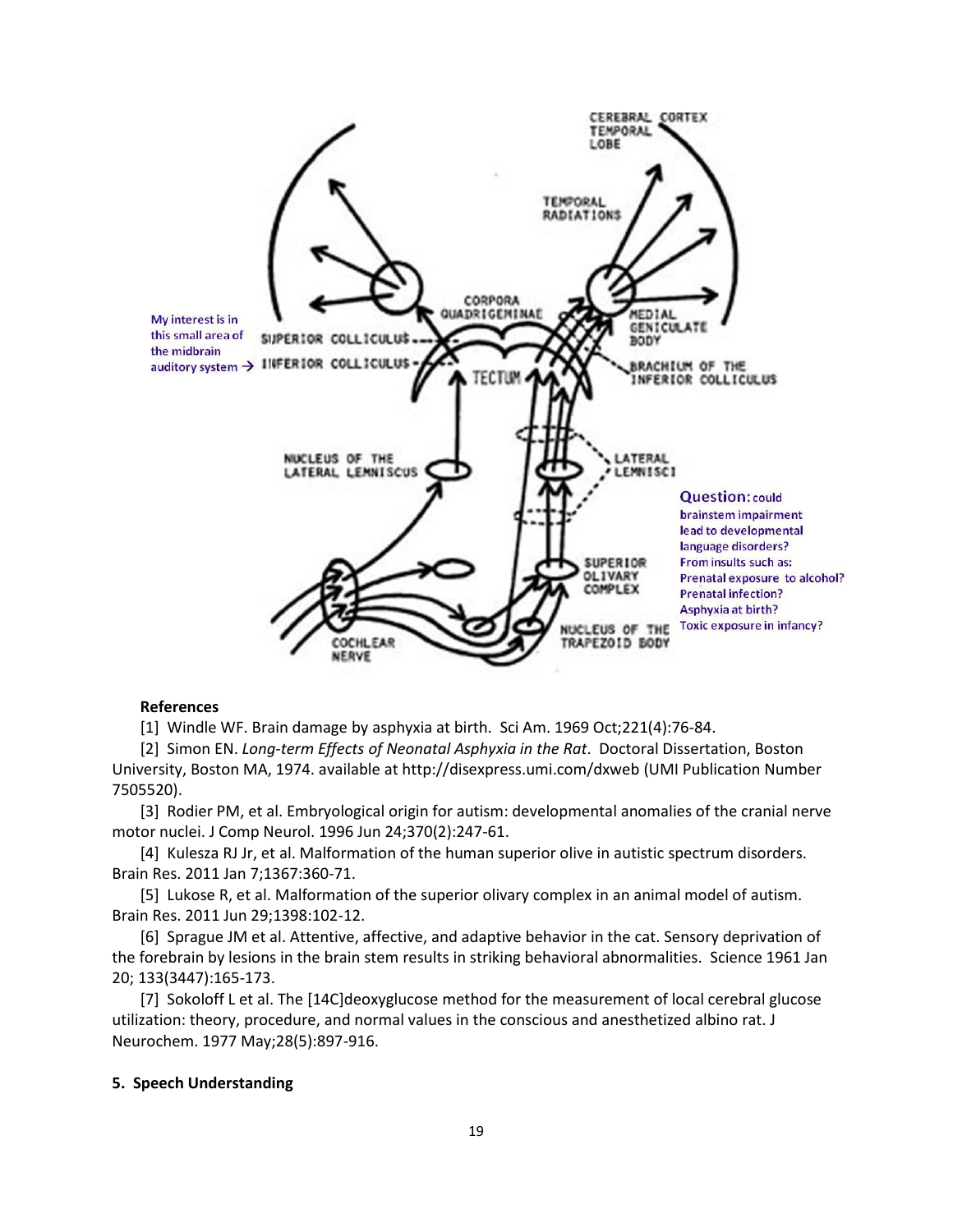

#### **References**

[1] Windle WF. Brain damage by asphyxia at birth. Sci Am. 1969 Oct;221(4):76-84.

[2] Simon EN. *Long-term Effects of Neonatal Asphyxia in the Rat*. Doctoral Dissertation, Boston University, Boston MA, 1974. available at <http://disexpress.umi.com/dxweb> (UMI Publication Number 7505520).

[3] Rodier PM, et al. Embryological origin for autism: [developmental](http://www.ncbi.nlm.nih.gov/pubmed/8808733) anomalies of the cranial nerve motor [nuclei.](http://www.ncbi.nlm.nih.gov/pubmed/8808733) J Comp Neurol. 1996 Jun 24;370(2):247-61.

[4] Kulesza RJ Jr, et al. [Malformation](http://www.ncbi.nlm.nih.gov/pubmed/20946889) of the human superior olive in autistic spectrum disorders. Brain Res. 2011 Jan 7;1367:360-71.

[5] Lukose R, et al. [Malformation](https://www.ncbi.nlm.nih.gov/pubmed/21636076) of the superior olivary complex in an animal model of autism. Brain Res. 2011 Jun 29;1398:102-12.

[6] Sprague JM et al. Attentive, affective, and adaptive behavior in the cat. Sensory deprivation of the forebrain by lesions in the brain stem results in striking behavioral abnormalities. Science 1961 Jan 20; 133(3447):165-173.

[7] Sokoloff L et al. The [\[14C\]deoxyglucose](http://www.ncbi.nlm.nih.gov/pubmed/864466) method for the measurement of local cerebral glucose utilization: theory, procedure, and normal values in the conscious and [anesthetized](http://www.ncbi.nlm.nih.gov/pubmed/864466) albino rat. J Neurochem. 1977 May;28(5):897-916.

#### **5. Speech Understanding**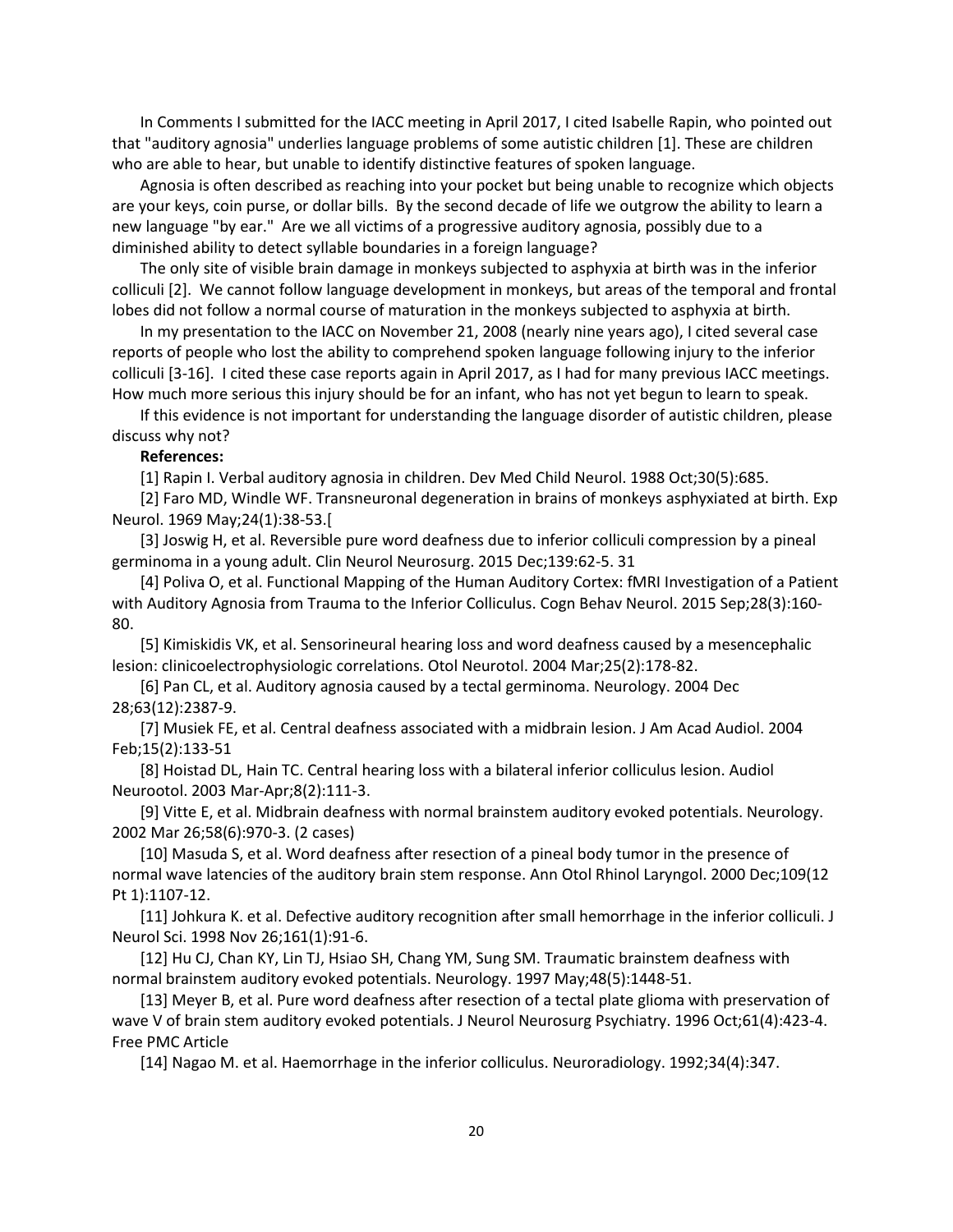In Comments I submitted for the IACC meeting in April 2017, I cited Isabelle Rapin, who pointed out that "auditory agnosia" underlies language problems of some autistic children [1]. These are children who are able to hear, but unable to identify distinctive features of spoken language.

Agnosia is often described as reaching into your pocket but being unable to recognize which objects are your keys, coin purse, or dollar bills. By the second decade of life we outgrow the ability to learn a new language "by ear." Are we all victims of a progressive auditory agnosia, possibly due to a diminished ability to detect syllable boundaries in a foreign language?

The only site of visible brain damage in monkeys subjected to asphyxia at birth was in the inferior colliculi [2]. We cannot follow language development in monkeys, but areas of the temporal and frontal lobes did not follow a normal course of maturation in the monkeys subjected to asphyxia at birth.

In my presentation to the IACC on November 21, 2008 (nearly nine years ago), I cited several case reports of people who lost the ability to comprehend spoken language following injury to the inferior colliculi [3-16]. I cited these case reports again in April 2017, as I had for many previous IACC meetings. How much more serious this injury should be for an infant, who has not yet begun to learn to speak.

If this evidence is not important for understanding the language disorder of autistic children, please discuss why not?

#### **References:**

[1] Rapin I. Verbal auditory agnosia in children. Dev Med Child Neurol. 1988 Oct;30(5):685.

[2] Faro MD, Windle WF. Transneuronal degeneration in brains of monkeys asphyxiated at birth. Exp Neurol. 1969 May;24(1):38-53.[

[3] Joswig H, et al. Reversible pure word deafness due to inferior colliculi compression by a pineal germinoma in a young adult. Clin Neurol Neurosurg. 2015 Dec;139:62-5. 31

[4] Poliva O, et al. Functional Mapping of the Human Auditory Cortex: fMRI Investigation of a Patient with Auditory Agnosia from Trauma to the Inferior Colliculus. Cogn Behav Neurol. 2015 Sep;28(3):160- 80.

[5] Kimiskidis VK, et al. Sensorineural hearing loss and word deafness caused by a mesencephalic lesion: clinicoelectrophysiologic correlations. Otol Neurotol. 2004 Mar;25(2):178-82.

[6] Pan CL, et al. Auditory agnosia caused by a tectal germinoma. Neurology. 2004 Dec 28;63(12):2387-9.

[7] Musiek FE, et al. Central deafness associated with a midbrain lesion. J Am Acad Audiol. 2004 Feb;15(2):133-51

[8] Hoistad DL, Hain TC. Central hearing loss with a bilateral inferior colliculus lesion. Audiol Neurootol. 2003 Mar-Apr;8(2):111-3.

[9] Vitte E, et al. Midbrain deafness with normal brainstem auditory evoked potentials. Neurology. 2002 Mar 26;58(6):970-3. (2 cases)

[10] Masuda S, et al. Word deafness after resection of a pineal body tumor in the presence of normal wave latencies of the auditory brain stem response. Ann Otol Rhinol Laryngol. 2000 Dec;109(12 Pt 1):1107-12.

[11] Johkura K. et al. Defective auditory recognition after small hemorrhage in the inferior colliculi. J Neurol Sci. 1998 Nov 26;161(1):91-6.

[12] Hu CJ, Chan KY, Lin TJ, Hsiao SH, Chang YM, Sung SM. Traumatic brainstem deafness with normal brainstem auditory evoked potentials. Neurology. 1997 May;48(5):1448-51.

[13] Meyer B, et al. Pure word deafness after resection of a tectal plate glioma with preservation of wave V of brain stem auditory evoked potentials. J Neurol Neurosurg Psychiatry. 1996 Oct;61(4):423-4. Free PMC Article

[14] Nagao M. et al. Haemorrhage in the inferior colliculus. Neuroradiology. 1992;34(4):347.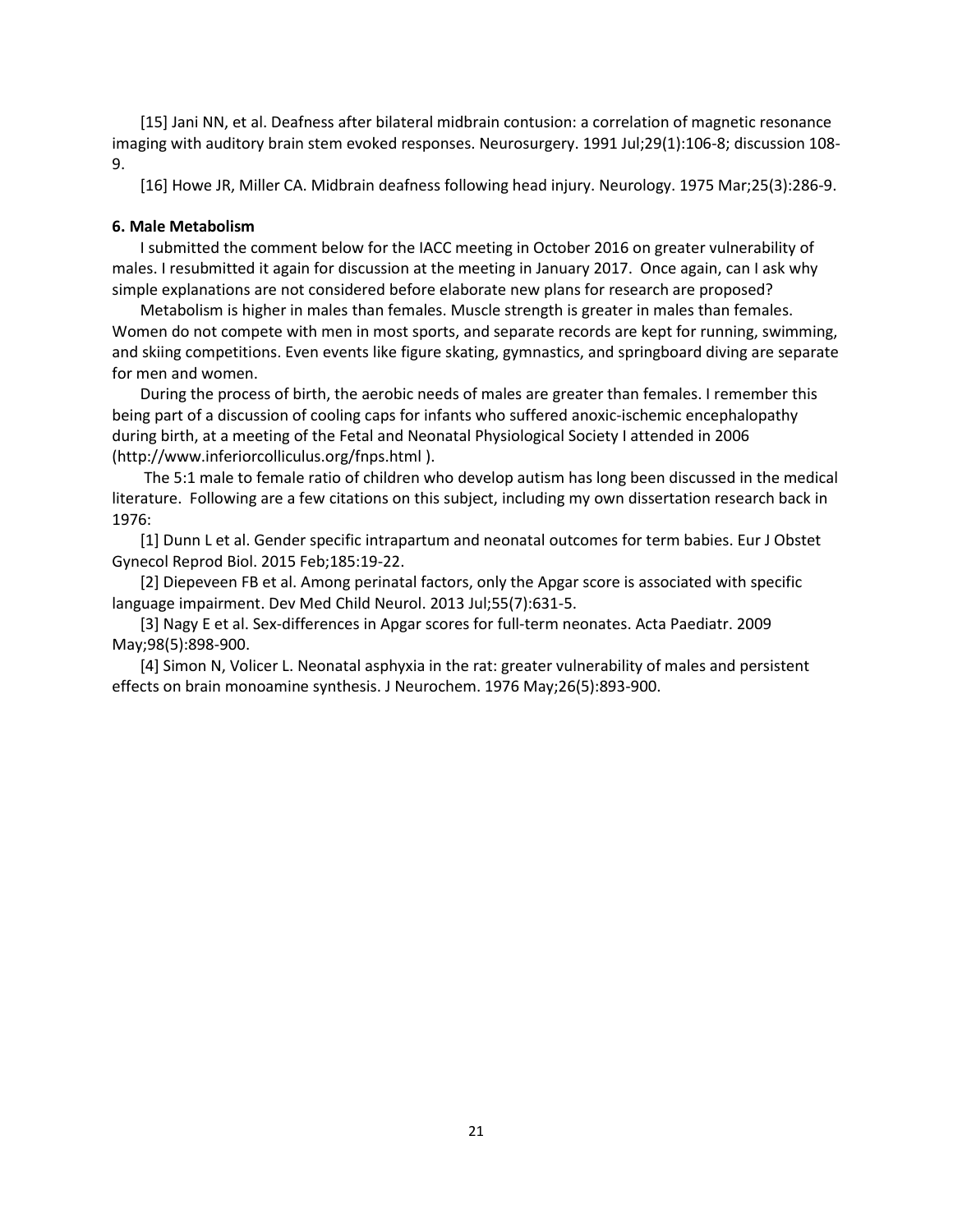[15] Jani NN, et al. Deafness after bilateral midbrain contusion: a correlation of magnetic resonance imaging with auditory brain stem evoked responses. Neurosurgery. 1991 Jul;29(1):106-8; discussion 108- 9.

[16] Howe JR, Miller CA. Midbrain deafness following head injury. Neurology. 1975 Mar;25(3):286-9.

#### **6. Male Metabolism**

I submitted the comment below for the IACC meeting in October 2016 on greater vulnerability of males. I resubmitted it again for discussion at the meeting in January 2017. Once again, can I ask why simple explanations are not considered before elaborate new plans for research are proposed?

Metabolism is higher in males than females. Muscle strength is greater in males than females. Women do not compete with men in most sports, and separate records are kept for running, swimming, and skiing competitions. Even events like figure skating, gymnastics, and springboard diving are separate for men and women.

During the process of birth, the aerobic needs of males are greater than females. I remember this being part of a discussion of cooling caps for infants who suffered anoxic-ischemic encephalopathy during birth, at a meeting of the Fetal and Neonatal Physiological Society I attended in 2006 [\(http://www.inferiorcolliculus.org/fnps.html](http://www.inferiorcolliculus.org/fnps.html) ).

The 5:1 male to female ratio of children who develop autism has long been discussed in the medical literature. Following are a few citations on this subject, including my own dissertation research back in 1976:

[1] Dunn L et al. Gender specific intrapartum and neonatal outcomes for term babies. Eur J Obstet Gynecol Reprod Biol. 2015 Feb;185:19-22.

[2] Diepeveen FB et al. Among perinatal factors, only the Apgar score is associated with specific language impairment. Dev Med Child Neurol. 2013 Jul;55(7):631-5.

[3] Nagy E et al. Sex-differences in Apgar scores for full-term neonates. Acta Paediatr. 2009 May;98(5):898-900.

[4] Simon N, Volicer L. Neonatal asphyxia in the rat: greater vulnerability of males and persistent effects on brain monoamine synthesis. J Neurochem. 1976 May;26(5):893-900.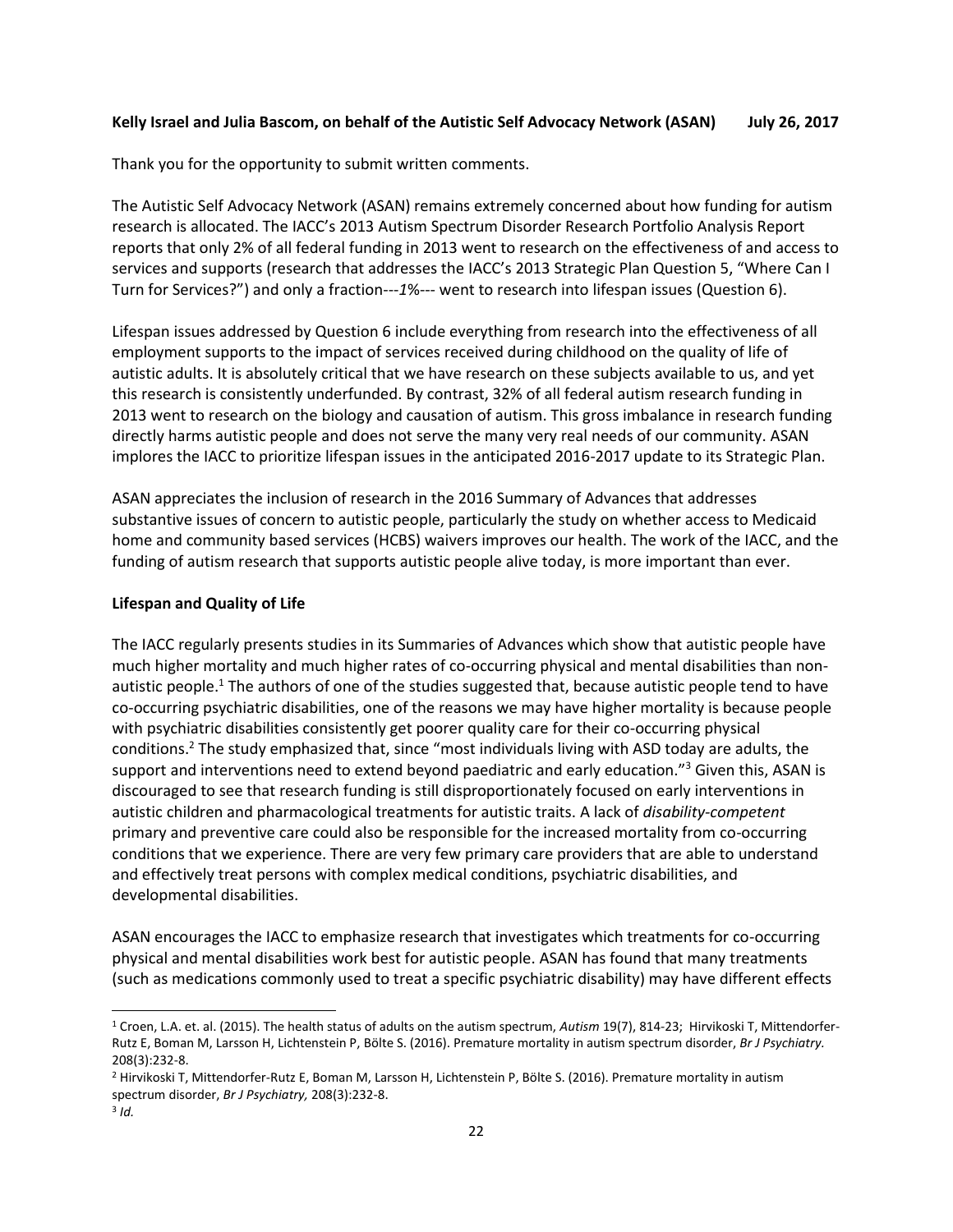### <span id="page-21-0"></span>**Kelly Israel and Julia Bascom, on behalf of the Autistic Self Advocacy Network (ASAN) July 26, 2017**

Thank you for the opportunity to submit written comments.

The Autistic Self Advocacy Network (ASAN) remains extremely concerned about how funding for autism research is allocated. The IACC's 2013 Autism Spectrum Disorder Research Portfolio Analysis Report reports that only 2% of all federal funding in 2013 went to research on the effectiveness of and access to services and supports (research that addresses the IACC's 2013 Strategic Plan Question 5, "Where Can I Turn for Services?") and only a fraction---*1*%--- went to research into lifespan issues (Question 6).

Lifespan issues addressed by Question 6 include everything from research into the effectiveness of all employment supports to the impact of services received during childhood on the quality of life of autistic adults. It is absolutely critical that we have research on these subjects available to us, and yet this research is consistently underfunded. By contrast, 32% of all federal autism research funding in 2013 went to research on the biology and causation of autism. This gross imbalance in research funding directly harms autistic people and does not serve the many very real needs of our community. ASAN implores the IACC to prioritize lifespan issues in the anticipated 2016-2017 update to its Strategic Plan.

ASAN appreciates the inclusion of research in the 2016 Summary of Advances that addresses substantive issues of concern to autistic people, particularly the study on whether access to Medicaid home and community based services (HCBS) waivers improves our health. The work of the IACC, and the funding of autism research that supports autistic people alive today, is more important than ever.

### **Lifespan and Quality of Life**

The IACC regularly presents studies in its Summaries of Advances which show that autistic people have much higher mortality and much higher rates of co-occurring physical and mental disabilities than nonautistic people.<sup>1</sup> The authors of one of the studies suggested that, because autistic people tend to have co-occurring psychiatric disabilities, one of the reasons we may have higher mortality is because people with psychiatric disabilities consistently get poorer quality care for their co-occurring physical conditions.<sup>2</sup> The study emphasized that, since "most individuals living with ASD today are adults, the support and interventions need to extend beyond paediatric and early education."<sup>3</sup> Given this, ASAN is discouraged to see that research funding is still disproportionately focused on early interventions in autistic children and pharmacological treatments for autistic traits. A lack of *disability-competent* primary and preventive care could also be responsible for the increased mortality from co-occurring conditions that we experience. There are very few primary care providers that are able to understand and effectively treat persons with complex medical conditions, psychiatric disabilities, and developmental disabilities.

ASAN encourages the IACC to emphasize research that investigates which treatments for co-occurring physical and mental disabilities work best for autistic people. ASAN has found that many treatments (such as medications commonly used to treat a specific psychiatric disability) may have different effects

 $\overline{\phantom{a}}$ 

<sup>1</sup> Croen, L.A. et. al. (2015). The health status of adults on the autism spectrum, *Autism* 19(7), 814-23; Hirvikoski T, Mittendorfer-Rutz E, Boman M, Larsson H, Lichtenstein P, Bölte S. (2016). Premature mortality in autism spectrum disorder, *Br J Psychiatry.*  208(3):232-8.

<sup>2</sup> Hirvikoski T, Mittendorfer-Rutz E, Boman M, Larsson H, Lichtenstein P, Bölte S. (2016). Premature mortality in autism spectrum disorder, *Br J Psychiatry,* 208(3):232-8.

<sup>3</sup> *Id.*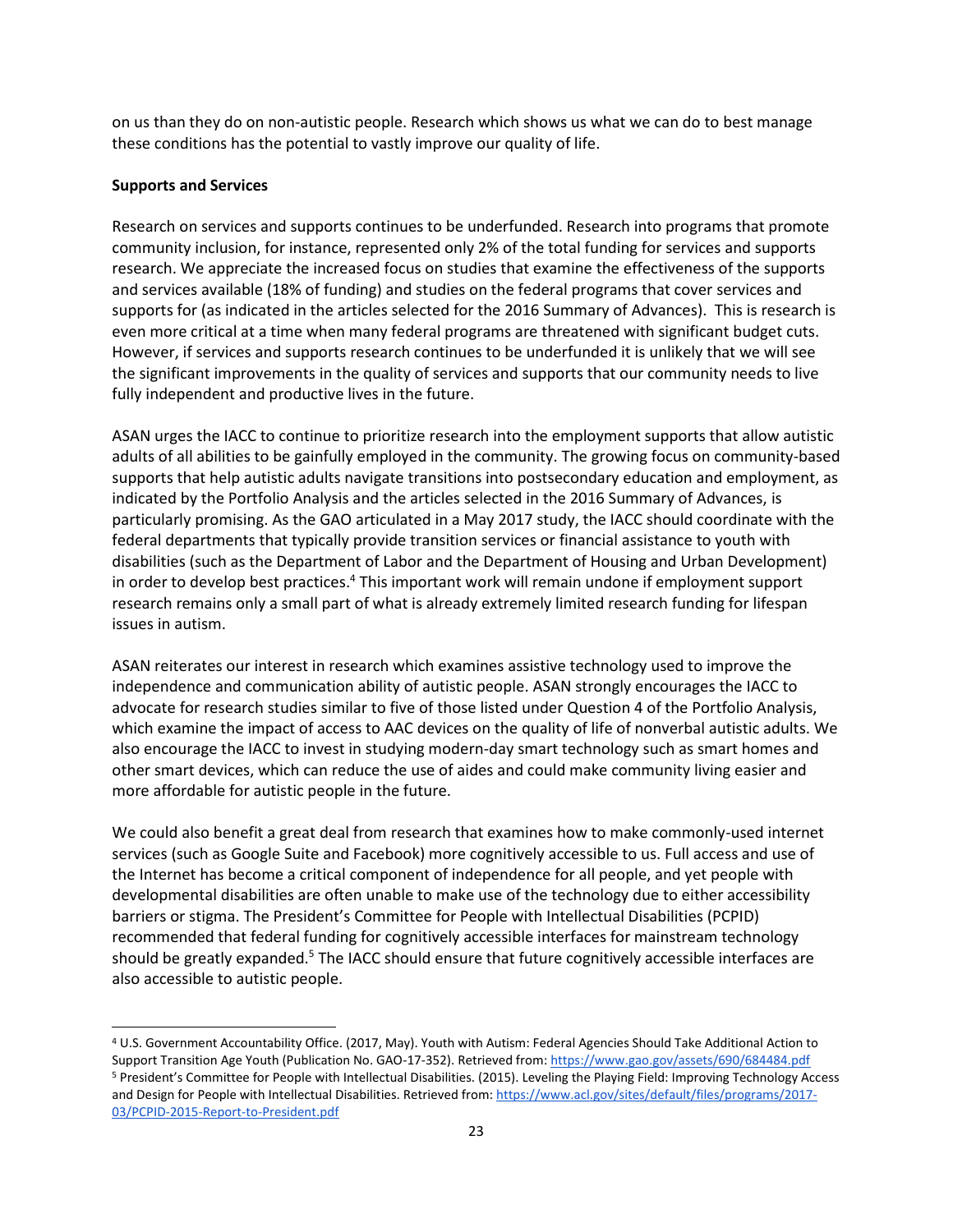on us than they do on non-autistic people. Research which shows us what we can do to best manage these conditions has the potential to vastly improve our quality of life.

### **Supports and Services**

 $\overline{\phantom{a}}$ 

Research on services and supports continues to be underfunded. Research into programs that promote community inclusion, for instance, represented only 2% of the total funding for services and supports research. We appreciate the increased focus on studies that examine the effectiveness of the supports and services available (18% of funding) and studies on the federal programs that cover services and supports for (as indicated in the articles selected for the 2016 Summary of Advances). This is research is even more critical at a time when many federal programs are threatened with significant budget cuts. However, if services and supports research continues to be underfunded it is unlikely that we will see the significant improvements in the quality of services and supports that our community needs to live fully independent and productive lives in the future.

ASAN urges the IACC to continue to prioritize research into the employment supports that allow autistic adults of all abilities to be gainfully employed in the community. The growing focus on community-based supports that help autistic adults navigate transitions into postsecondary education and employment, as indicated by the Portfolio Analysis and the articles selected in the 2016 Summary of Advances, is particularly promising. As the GAO articulated in a May 2017 study, the IACC should coordinate with the federal departments that typically provide transition services or financial assistance to youth with disabilities (such as the Department of Labor and the Department of Housing and Urban Development) in order to develop best practices.<sup>4</sup> This important work will remain undone if employment support research remains only a small part of what is already extremely limited research funding for lifespan issues in autism.

ASAN reiterates our interest in research which examines assistive technology used to improve the independence and communication ability of autistic people. ASAN strongly encourages the IACC to advocate for research studies similar to five of those listed under Question 4 of the Portfolio Analysis, which examine the impact of access to AAC devices on the quality of life of nonverbal autistic adults. We also encourage the IACC to invest in studying modern-day smart technology such as smart homes and other smart devices, which can reduce the use of aides and could make community living easier and more affordable for autistic people in the future.

We could also benefit a great deal from research that examines how to make commonly-used internet services (such as Google Suite and Facebook) more cognitively accessible to us. Full access and use of the Internet has become a critical component of independence for all people, and yet people with developmental disabilities are often unable to make use of the technology due to either accessibility barriers or stigma. The President's Committee for People with Intellectual Disabilities (PCPID) recommended that federal funding for cognitively accessible interfaces for mainstream technology should be greatly expanded.<sup>5</sup> The IACC should ensure that future cognitively accessible interfaces are also accessible to autistic people.

<sup>4</sup> U.S. Government Accountability Office. (2017, May). Youth with Autism: Federal Agencies Should Take Additional Action to Support Transition Age Youth (Publication No. GAO-17-352). Retrieved from:<https://www.gao.gov/assets/690/684484.pdf> <sup>5</sup> President's Committee for People with Intellectual Disabilities. (2015). Leveling the Playing Field: Improving Technology Access and Design for People with Intellectual Disabilities. Retrieved from: [https://www.acl.gov/sites/default/files/programs/2017-](https://www.acl.gov/sites/default/files/programs/2017-03/PCPID-2015-Report-to-President.pdf) [03/PCPID-2015-Report-to-President.pdf](https://www.acl.gov/sites/default/files/programs/2017-03/PCPID-2015-Report-to-President.pdf)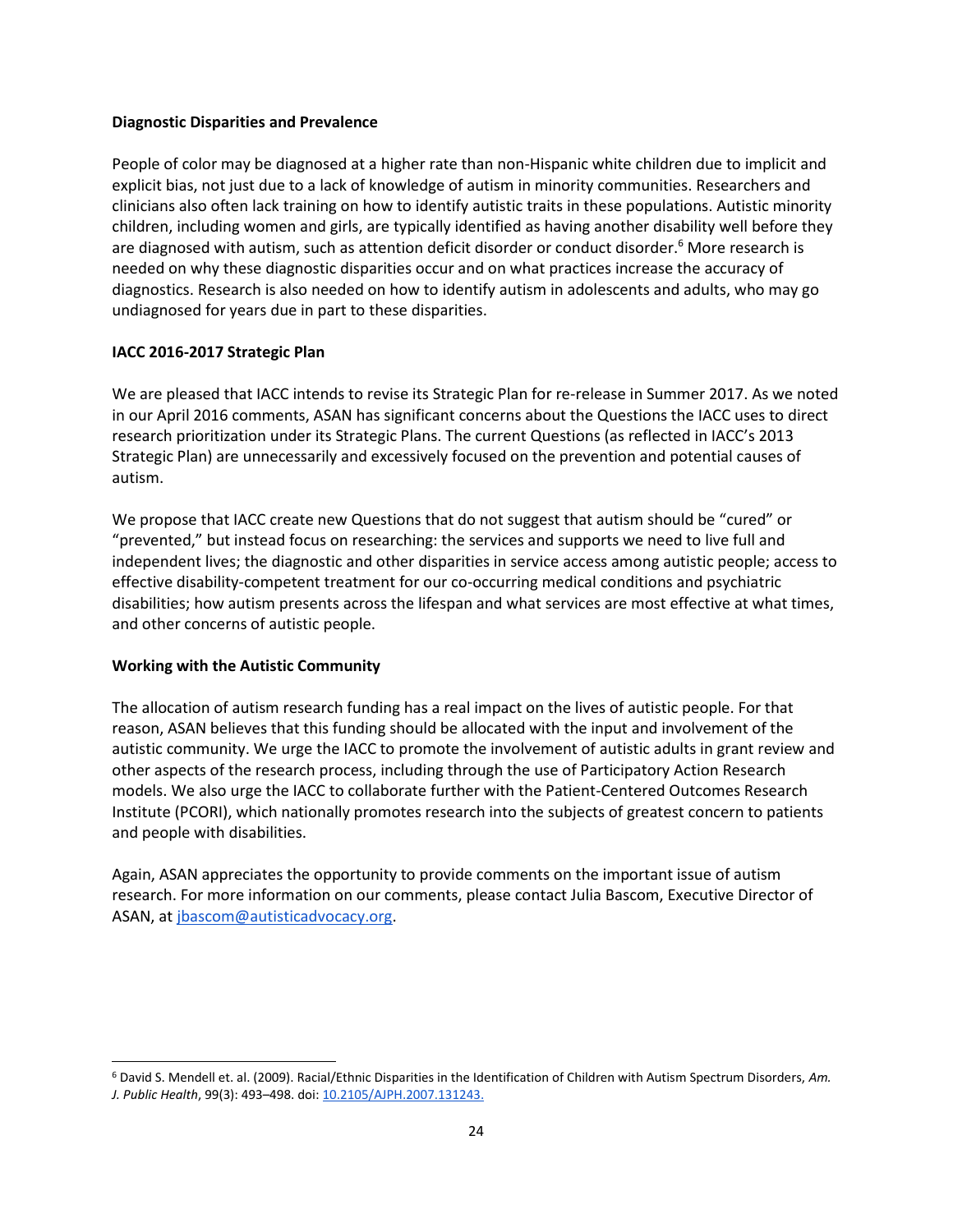### **Diagnostic Disparities and Prevalence**

People of color may be diagnosed at a higher rate than non-Hispanic white children due to implicit and explicit bias, not just due to a lack of knowledge of autism in minority communities. Researchers and clinicians also often lack training on how to identify autistic traits in these populations. Autistic minority children, including women and girls, are typically identified as having another disability well before they are diagnosed with autism, such as attention deficit disorder or conduct disorder.<sup>6</sup> More research is needed on why these diagnostic disparities occur and on what practices increase the accuracy of diagnostics. Research is also needed on how to identify autism in adolescents and adults, who may go undiagnosed for years due in part to these disparities.

### **IACC 2016-2017 Strategic Plan**

We are pleased that IACC intends to revise its Strategic Plan for re-release in Summer 2017. As we noted in our April 2016 comments, ASAN has significant concerns about the Questions the IACC uses to direct research prioritization under its Strategic Plans. The current Questions (as reflected in IACC's 2013 Strategic Plan) are unnecessarily and excessively focused on the prevention and potential causes of autism.

We propose that IACC create new Questions that do not suggest that autism should be "cured" or "prevented," but instead focus on researching: the services and supports we need to live full and independent lives; the diagnostic and other disparities in service access among autistic people; access to effective disability-competent treatment for our co-occurring medical conditions and psychiatric disabilities; how autism presents across the lifespan and what services are most effective at what times, and other concerns of autistic people.

#### **Working with the Autistic Community**

 $\overline{\phantom{a}}$ 

The allocation of autism research funding has a real impact on the lives of autistic people. For that reason, ASAN believes that this funding should be allocated with the input and involvement of the autistic community. We urge the IACC to promote the involvement of autistic adults in grant review and other aspects of the research process, including through the use of Participatory Action Research models. We also urge the IACC to collaborate further with the Patient-Centered Outcomes Research Institute (PCORI), which nationally promotes research into the subjects of greatest concern to patients and people with disabilities.

Again, ASAN appreciates the opportunity to provide comments on the important issue of autism research. For more information on our comments, please contact Julia Bascom, Executive Director of ASAN, a[t jbascom@autisticadvocacy.org.](mailto:jbascom@autisticadvocacy.org)

<sup>6</sup> David S. Mendell et. al. (2009). Racial/Ethnic Disparities in the Identification of Children with Autism Spectrum Disorders, *Am. J. Public Health*, 99(3): 493–498. doi[: 10.2105/AJPH.2007.131243.](https://dx.doi.org/10.2105%2FAJPH.2007.131243)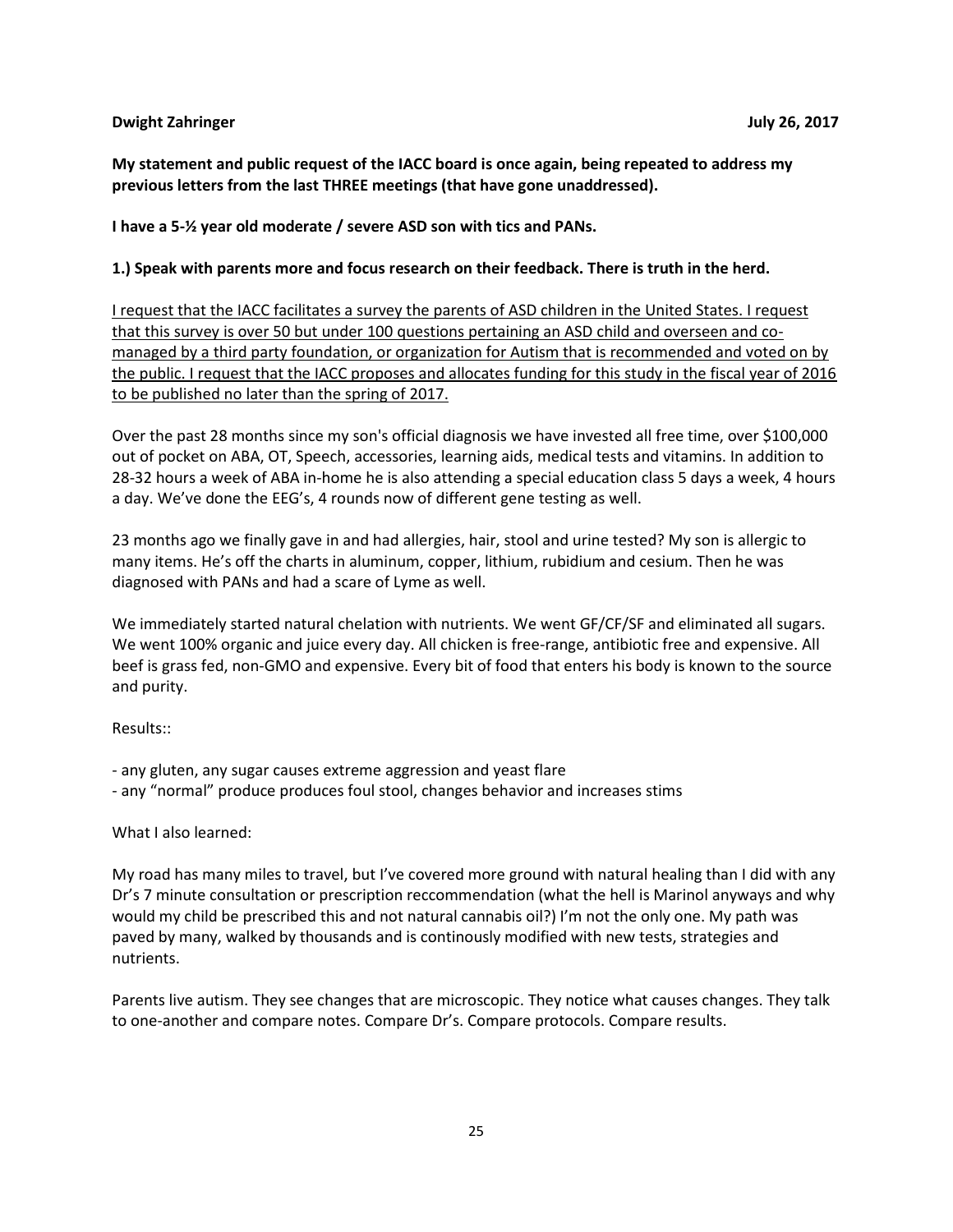### <span id="page-24-0"></span>**Dwight Zahringer July 26, 2017**

**My statement and public request of the IACC board is once again, being repeated to address my previous letters from the last THREE meetings (that have gone unaddressed).**

**I have a 5-½ year old moderate / severe ASD son with tics and PANs.**

### **1.) Speak with parents more and focus research on their feedback. There is truth in the herd.**

I request that the IACC facilitates a survey the parents of ASD children in the United States. I request that this survey is over 50 but under 100 questions pertaining an ASD child and overseen and comanaged by a third party foundation, or organization for Autism that is recommended and voted on by the public. I request that the IACC proposes and allocates funding for this study in the fiscal year of 2016 to be published no later than the spring of 2017.

Over the past 28 months since my son's official diagnosis we have invested all free time, over \$100,000 out of pocket on ABA, OT, Speech, accessories, learning aids, medical tests and vitamins. In addition to 28-32 hours a week of ABA in-home he is also attending a special education class 5 days a week, 4 hours a day. We've done the EEG's, 4 rounds now of different gene testing as well.

23 months ago we finally gave in and had allergies, hair, stool and urine tested? My son is allergic to many items. He's off the charts in aluminum, copper, lithium, rubidium and cesium. Then he was diagnosed with PANs and had a scare of Lyme as well.

We immediately started natural chelation with nutrients. We went GF/CF/SF and eliminated all sugars. We went 100% organic and juice every day. All chicken is free-range, antibiotic free and expensive. All beef is grass fed, non-GMO and expensive. Every bit of food that enters his body is known to the source and purity.

Results::

- any gluten, any sugar causes extreme aggression and yeast flare
- any "normal" produce produces foul stool, changes behavior and increases stims

### What I also learned:

My road has many miles to travel, but I've covered more ground with natural healing than I did with any Dr's 7 minute consultation or prescription reccommendation (what the hell is Marinol anyways and why would my child be prescribed this and not natural cannabis oil?) I'm not the only one. My path was paved by many, walked by thousands and is continously modified with new tests, strategies and nutrients.

Parents live autism. They see changes that are microscopic. They notice what causes changes. They talk to one-another and compare notes. Compare Dr's. Compare protocols. Compare results.